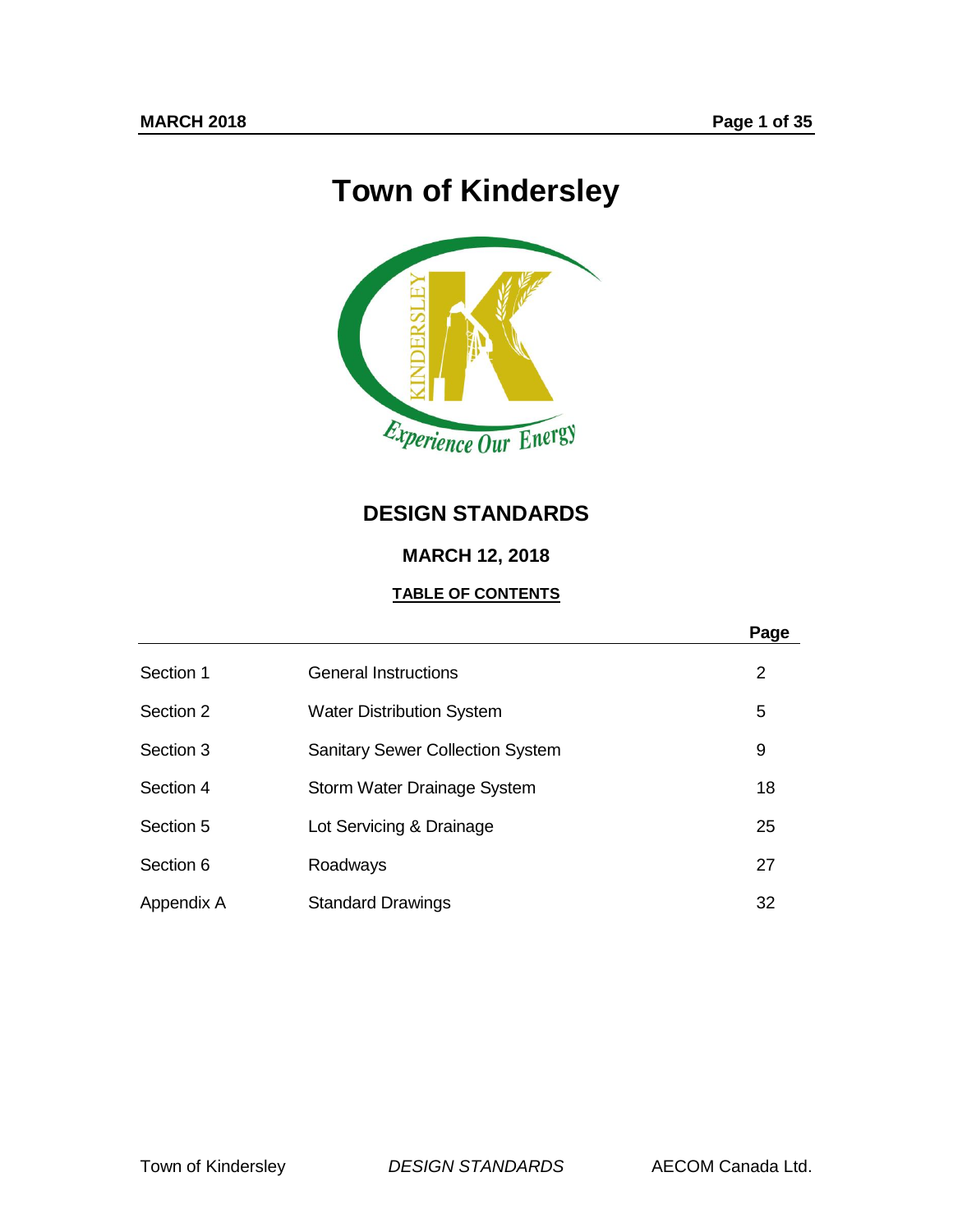# **Town of Kindersley**



## **DESIGN STANDARDS**

### **MARCH 12, 2018**

### **TABLE OF CONTENTS**

|            |                                         | Page |
|------------|-----------------------------------------|------|
| Section 1  | <b>General Instructions</b>             | 2    |
| Section 2  | <b>Water Distribution System</b>        | 5    |
| Section 3  | <b>Sanitary Sewer Collection System</b> | 9    |
| Section 4  | Storm Water Drainage System             | 18   |
| Section 5  | Lot Servicing & Drainage                | 25   |
| Section 6  | Roadways                                | 27   |
| Appendix A | <b>Standard Drawings</b>                | 32   |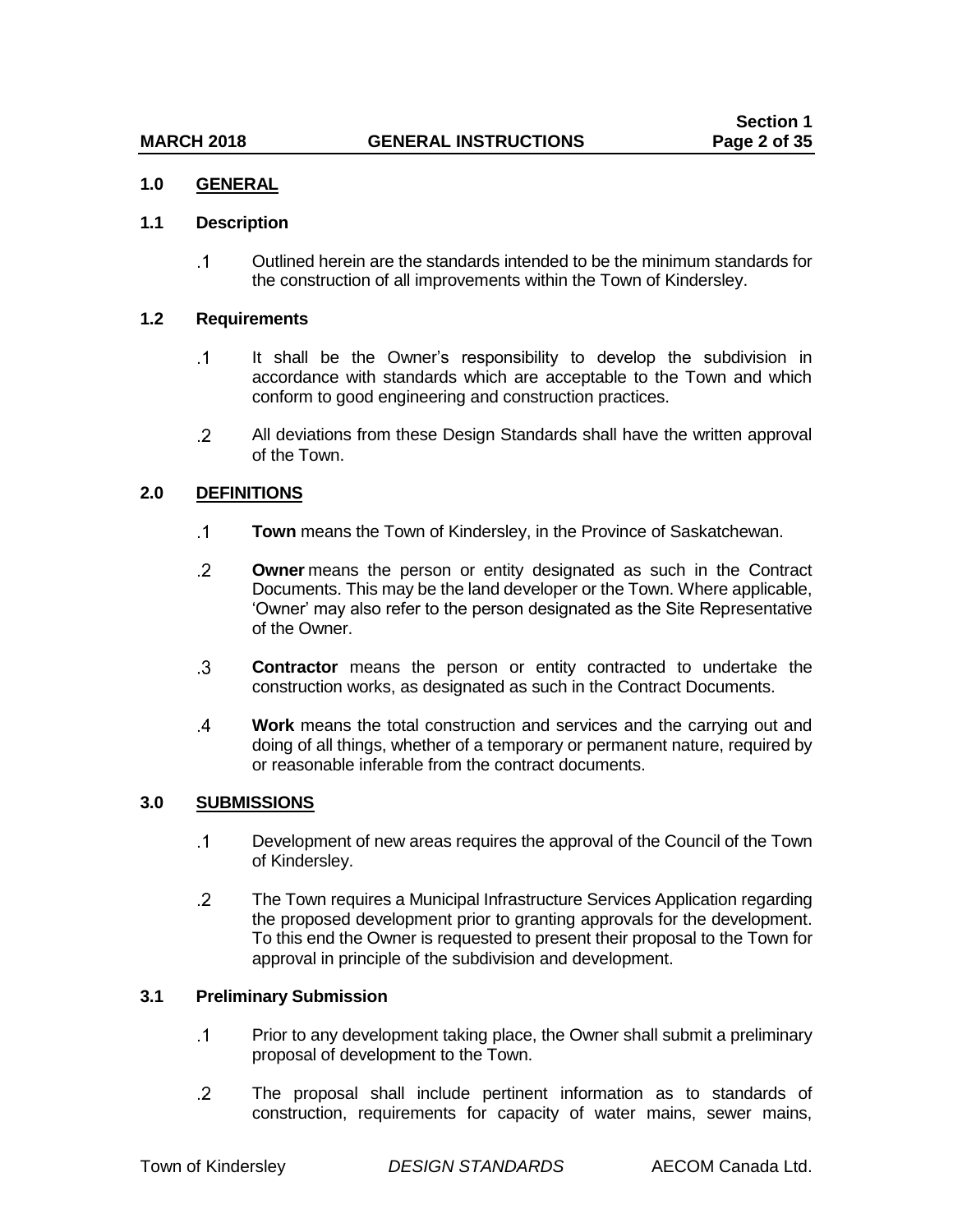#### **1.0 GENERAL**

#### **1.1 Description**

 $\cdot$ 1 Outlined herein are the standards intended to be the minimum standards for the construction of all improvements within the Town of Kindersley.

#### **1.2 Requirements**

- $\cdot$ 1 It shall be the Owner's responsibility to develop the subdivision in accordance with standards which are acceptable to the Town and which conform to good engineering and construction practices.
- $\cdot$  2 All deviations from these Design Standards shall have the written approval of the Town.

#### **2.0 DEFINITIONS**

- $\cdot$ 1 **Town** means the Town of Kindersley, in the Province of Saskatchewan.
- $\cdot$  2 **Owner** means the person or entity designated as such in the Contract Documents. This may be the land developer or the Town. Where applicable, 'Owner' may also refer to the person designated as the Site Representative of the Owner.
- $\cdot$ 3 **Contractor** means the person or entity contracted to undertake the construction works, as designated as such in the Contract Documents.
- $\overline{A}$ **Work** means the total construction and services and the carrying out and doing of all things, whether of a temporary or permanent nature, required by or reasonable inferable from the contract documents.

#### **3.0 SUBMISSIONS**

- $\cdot$ 1 Development of new areas requires the approval of the Council of the Town of Kindersley.
- $\overline{2}$ The Town requires a Municipal Infrastructure Services Application regarding the proposed development prior to granting approvals for the development. To this end the Owner is requested to present their proposal to the Town for approval in principle of the subdivision and development.

#### **3.1 Preliminary Submission**

- Prior to any development taking place, the Owner shall submit a preliminary  $\cdot$ 1 proposal of development to the Town.
- $\cdot$  2 The proposal shall include pertinent information as to standards of construction, requirements for capacity of water mains, sewer mains,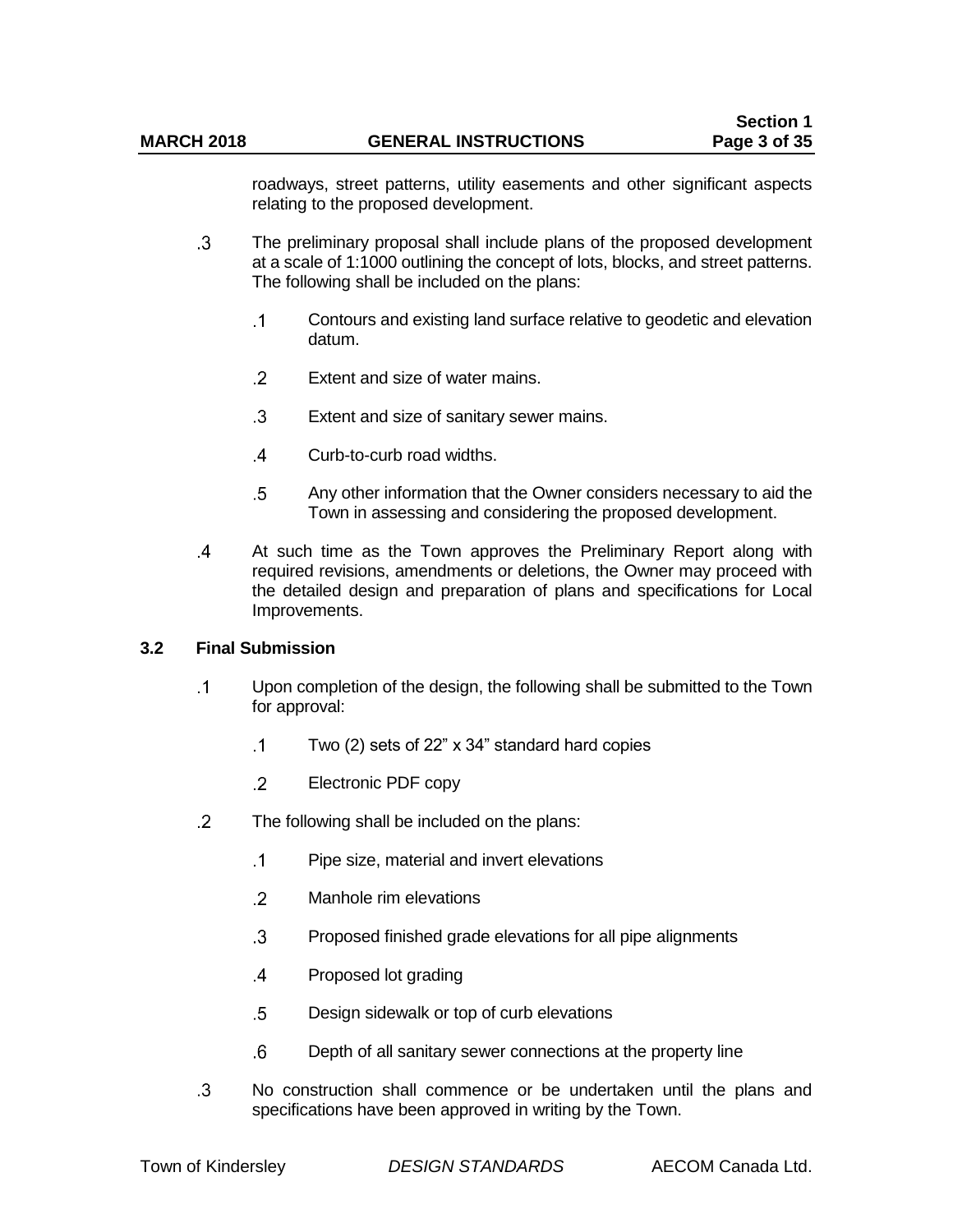roadways, street patterns, utility easements and other significant aspects relating to the proposed development.

- $\mathbf{3}$ The preliminary proposal shall include plans of the proposed development at a scale of 1:1000 outlining the concept of lots, blocks, and street patterns. The following shall be included on the plans:
	- $\cdot$ 1 Contours and existing land surface relative to geodetic and elevation datum.
	- $\overline{2}$ Extent and size of water mains.
	- $\cdot$ 3 Extent and size of sanitary sewer mains.
	- $\overline{A}$ Curb-to-curb road widths.
	- $\overline{5}$ Any other information that the Owner considers necessary to aid the Town in assessing and considering the proposed development.
- $\overline{A}$ At such time as the Town approves the Preliminary Report along with required revisions, amendments or deletions, the Owner may proceed with the detailed design and preparation of plans and specifications for Local Improvements.

#### **3.2 Final Submission**

- $\cdot$ 1 Upon completion of the design, the following shall be submitted to the Town for approval:
	- $\cdot$ 1 Two (2) sets of 22" x 34" standard hard copies
	- $\cdot$  2 Electronic PDF copy
- $\overline{2}$ The following shall be included on the plans:
	- $\cdot$ 1 Pipe size, material and invert elevations
	- $\overline{2}$ Manhole rim elevations
	- $\cdot$ 3 Proposed finished grade elevations for all pipe alignments
	- $\overline{A}$ Proposed lot grading
	- $.5\,$ Design sidewalk or top of curb elevations
	- $6^{\circ}$ Depth of all sanitary sewer connections at the property line
- $\cdot$ 3 No construction shall commence or be undertaken until the plans and specifications have been approved in writing by the Town.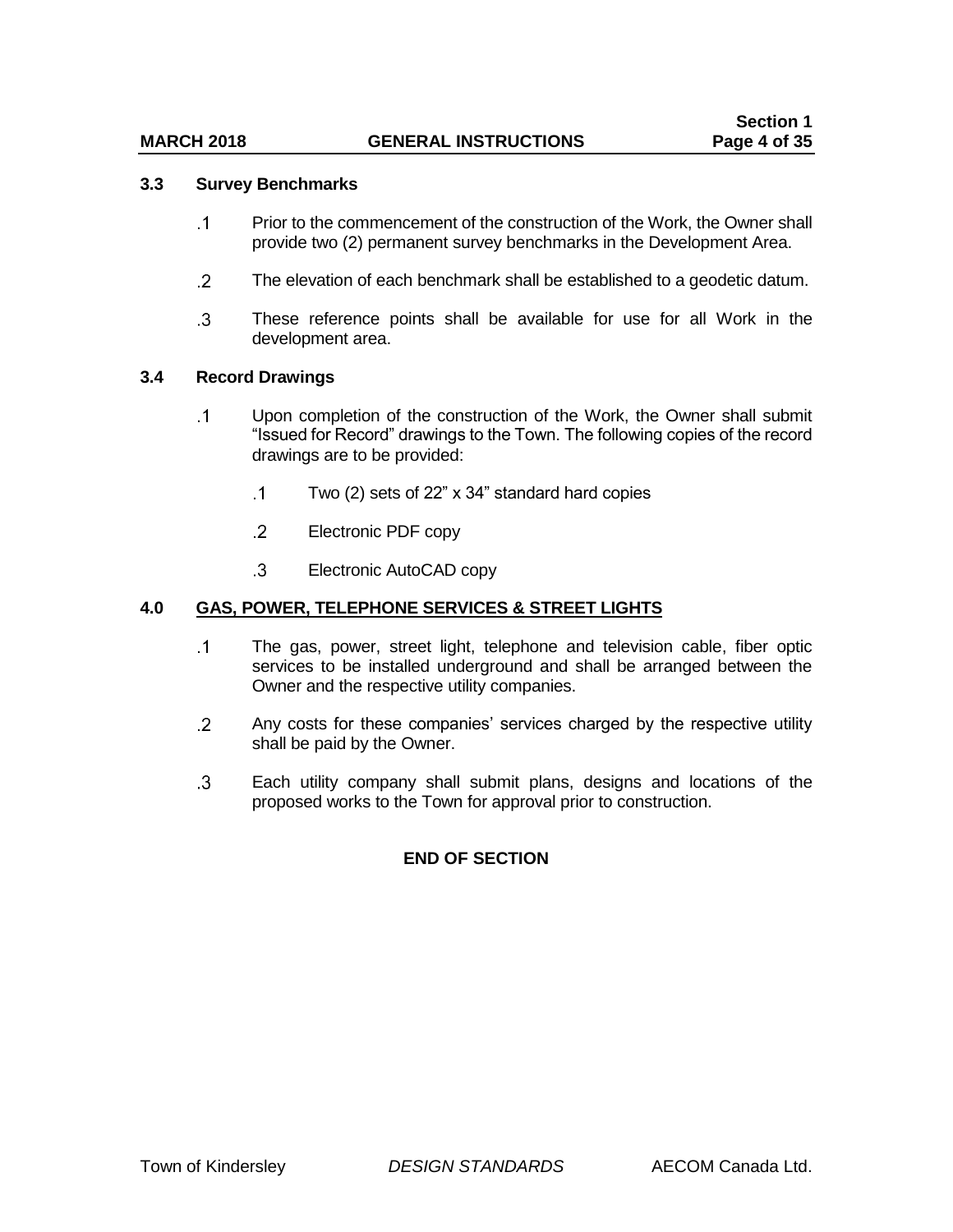#### **3.3 Survey Benchmarks**

- $\cdot$ 1 Prior to the commencement of the construction of the Work, the Owner shall provide two (2) permanent survey benchmarks in the Development Area.
- $\overline{2}$ The elevation of each benchmark shall be established to a geodetic datum.
- $\cdot$ 3 These reference points shall be available for use for all Work in the development area.

#### **3.4 Record Drawings**

- $\cdot$ 1 Upon completion of the construction of the Work, the Owner shall submit "Issued for Record" drawings to the Town. The following copies of the record drawings are to be provided:
	- $\overline{.1}$ Two (2) sets of 22" x 34" standard hard copies
	- $\cdot$  2 Electronic PDF copy
	- $.3\phantom{0}$ Electronic AutoCAD copy

#### **4.0 GAS, POWER, TELEPHONE SERVICES & STREET LIGHTS**

- $\cdot$ 1 The gas, power, street light, telephone and television cable, fiber optic services to be installed underground and shall be arranged between the Owner and the respective utility companies.
- $\overline{2}$ Any costs for these companies' services charged by the respective utility shall be paid by the Owner.
- $\cdot$ 3 Each utility company shall submit plans, designs and locations of the proposed works to the Town for approval prior to construction.

#### **END OF SECTION**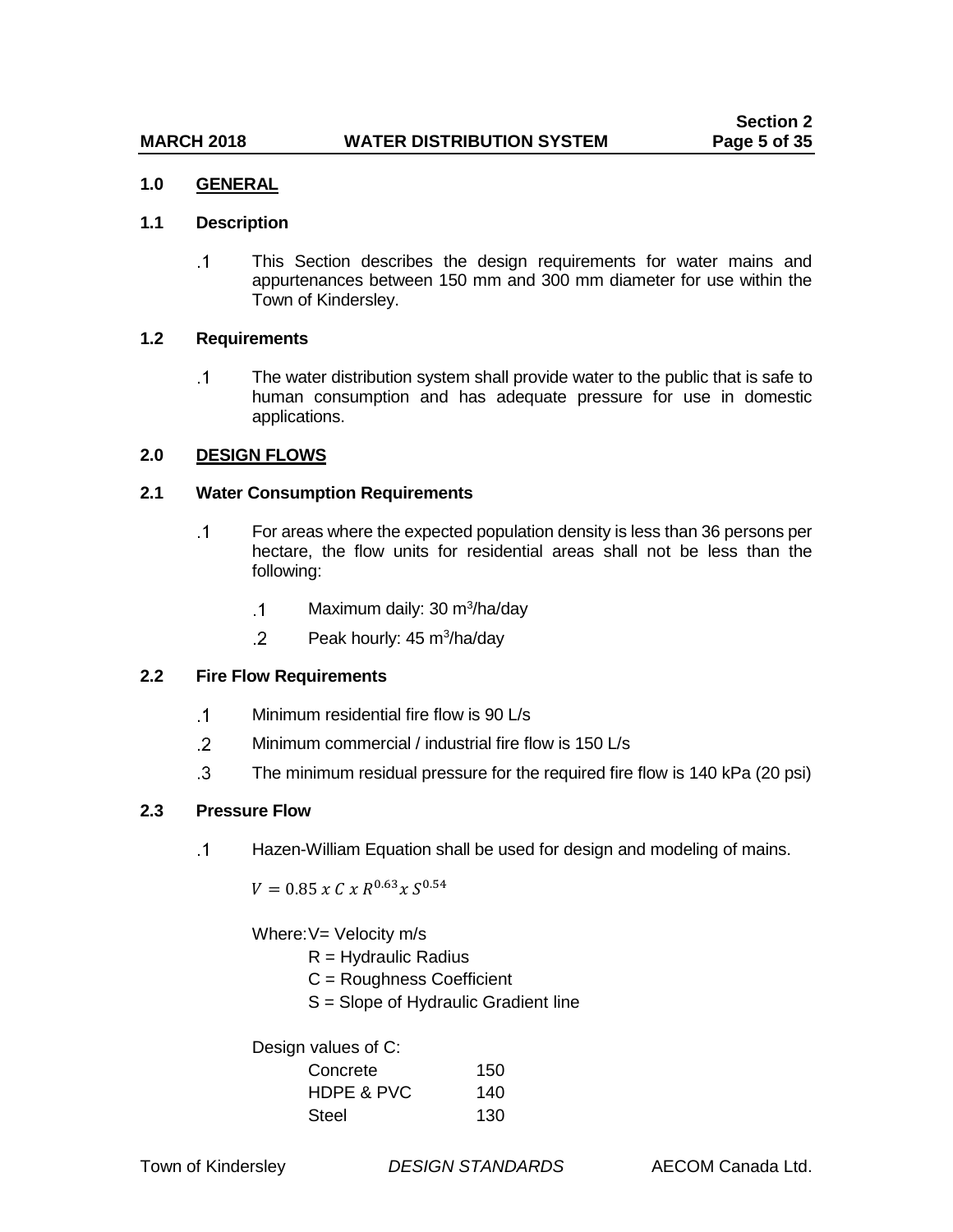#### **1.0 GENERAL**

#### **1.1 Description**

 $\cdot$ 1 This Section describes the design requirements for water mains and appurtenances between 150 mm and 300 mm diameter for use within the Town of Kindersley.

#### **1.2 Requirements**

 $\cdot$ 1 The water distribution system shall provide water to the public that is safe to human consumption and has adequate pressure for use in domestic applications.

#### **2.0 DESIGN FLOWS**

#### **2.1 Water Consumption Requirements**

- $\cdot$ 1 For areas where the expected population density is less than 36 persons per hectare, the flow units for residential areas shall not be less than the following:
	- $.1$ Maximum daily: 30 m<sup>3</sup>/ha/day
	- $\cdot$ .2 Peak hourly: 45 m<sup>3</sup>/ha/day

#### **2.2 Fire Flow Requirements**

- Minimum residential fire flow is 90 L/s  $\cdot$ 1
- $\overline{2}$ Minimum commercial / industrial fire flow is 150 L/s
- $\cdot$ 3 The minimum residual pressure for the required fire flow is 140 kPa (20 psi)

#### **2.3 Pressure Flow**

 $\cdot$ 1 Hazen-William Equation shall be used for design and modeling of mains.

 $V = 0.85 x C x R^{0.63} x S^{0.54}$ 

Where: V= Velocity m/s

- $R = Hyd$ raulic Radius
- C = Roughness Coefficient

S = Slope of Hydraulic Gradient line

Design values of C:

| Concrete              | 150 |
|-----------------------|-----|
| <b>HDPE &amp; PVC</b> | 140 |
| Steel                 | 130 |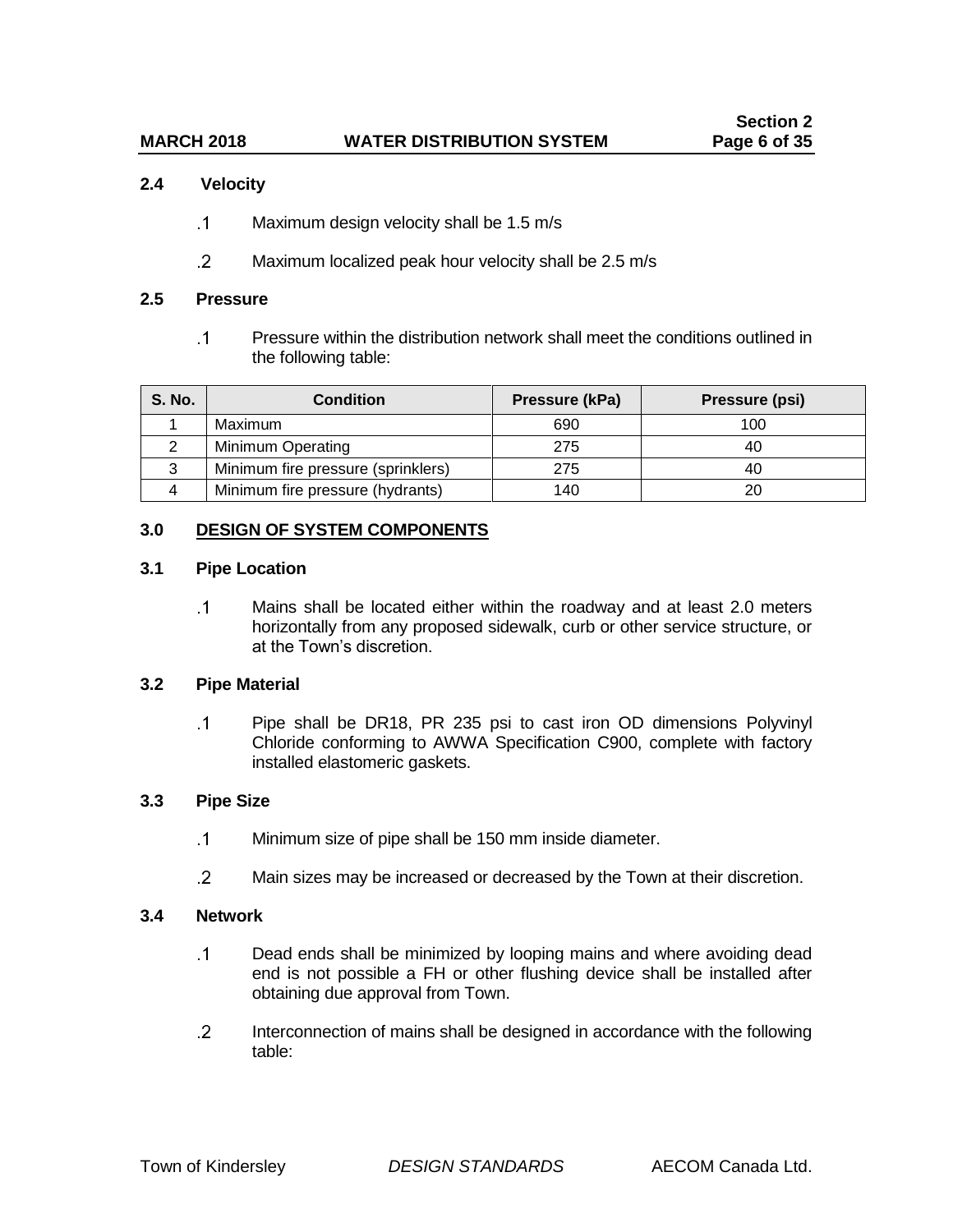#### **2.4 Velocity**

- $\cdot$ 1 Maximum design velocity shall be 1.5 m/s
- $\overline{2}$ Maximum localized peak hour velocity shall be 2.5 m/s

#### **2.5 Pressure**

 $\cdot$ 1 Pressure within the distribution network shall meet the conditions outlined in the following table:

| <b>S. No.</b> | <b>Condition</b>                   | Pressure (kPa) | Pressure (psi) |
|---------------|------------------------------------|----------------|----------------|
|               | Maximum                            | 690            | 100            |
|               | Minimum Operating                  | 275            |                |
|               | Minimum fire pressure (sprinklers) | 275            |                |
|               | Minimum fire pressure (hydrants)   | 140            |                |

#### **3.0 DESIGN OF SYSTEM COMPONENTS**

#### **3.1 Pipe Location**

 $\cdot$ 1 Mains shall be located either within the roadway and at least 2.0 meters horizontally from any proposed sidewalk, curb or other service structure, or at the Town's discretion.

#### **3.2 Pipe Material**

 $\cdot$ 1 Pipe shall be DR18, PR 235 psi to cast iron OD dimensions Polyvinyl Chloride conforming to AWWA Specification C900, complete with factory installed elastomeric gaskets.

#### **3.3 Pipe Size**

- $\cdot$ 1 Minimum size of pipe shall be 150 mm inside diameter.
- $\cdot$  2 Main sizes may be increased or decreased by the Town at their discretion.

#### **3.4 Network**

- $\cdot$ 1 Dead ends shall be minimized by looping mains and where avoiding dead end is not possible a FH or other flushing device shall be installed after obtaining due approval from Town.
- $\cdot$  2 Interconnection of mains shall be designed in accordance with the following table: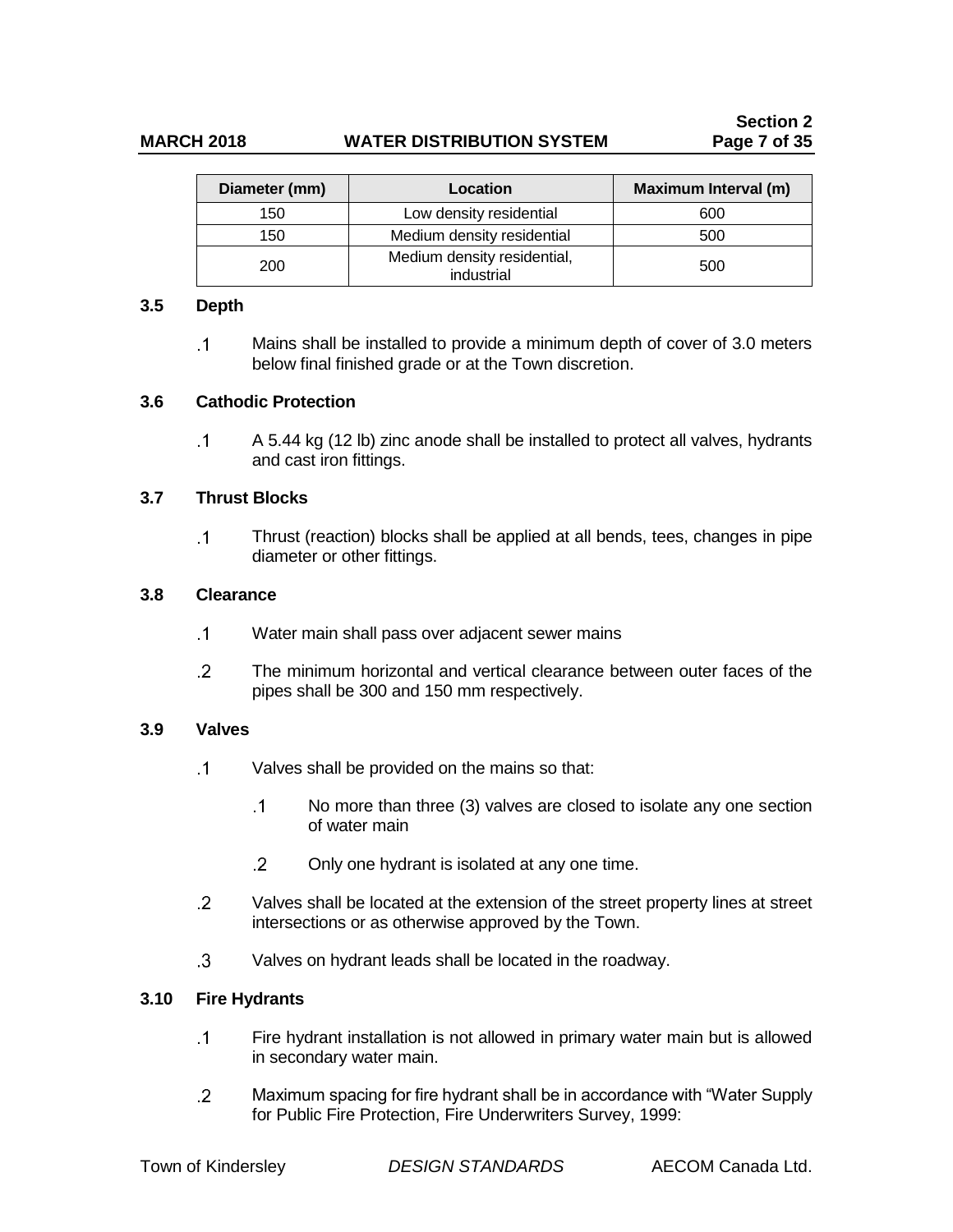#### **MARCH 2018 WATER DISTRIBUTION SYSTEM Page 7 of 35**

| Diameter (mm) | Location                                  | Maximum Interval (m) |
|---------------|-------------------------------------------|----------------------|
| 150           | Low density residential                   | 600                  |
| 150           | Medium density residential                | 500                  |
| 200           | Medium density residential,<br>industrial | 500                  |

#### **3.5 Depth**

 $\cdot$ 1 Mains shall be installed to provide a minimum depth of cover of 3.0 meters below final finished grade or at the Town discretion.

#### **3.6 Cathodic Protection**

 $\cdot$ 1 A 5.44 kg (12 lb) zinc anode shall be installed to protect all valves, hydrants and cast iron fittings.

#### **3.7 Thrust Blocks**

 $\cdot$ 1 Thrust (reaction) blocks shall be applied at all bends, tees, changes in pipe diameter or other fittings.

#### **3.8 Clearance**

- $\cdot$ 1 Water main shall pass over adjacent sewer mains
- $\overline{2}$ The minimum horizontal and vertical clearance between outer faces of the pipes shall be 300 and 150 mm respectively.

#### **3.9 Valves**

- $\cdot$ 1 Valves shall be provided on the mains so that:
	- $\cdot$ 1 No more than three (3) valves are closed to isolate any one section of water main
	- $\overline{2}$ Only one hydrant is isolated at any one time.
- $\overline{2}$ Valves shall be located at the extension of the street property lines at street intersections or as otherwise approved by the Town.
- $\mathbf{3}$ Valves on hydrant leads shall be located in the roadway.

#### **3.10 Fire Hydrants**

- $\cdot$ 1 Fire hydrant installation is not allowed in primary water main but is allowed in secondary water main.
- $\overline{2}$ Maximum spacing for fire hydrant shall be in accordance with "Water Supply for Public Fire Protection, Fire Underwriters Survey, 1999: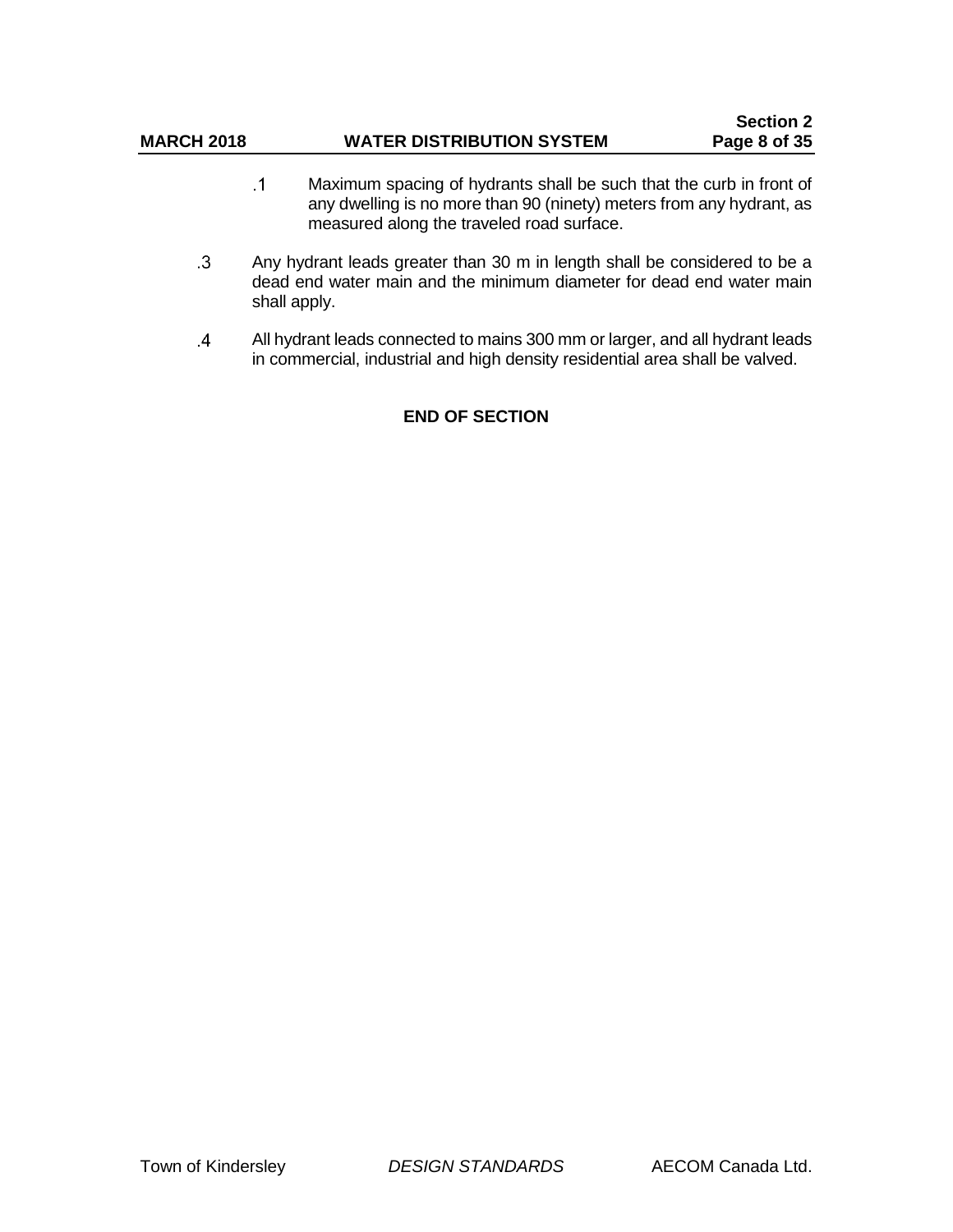### **Section 2 MARCH 2018 WATER DISTRIBUTION SYSTEM Page 8 of 35**

- $\cdot$ 1 Maximum spacing of hydrants shall be such that the curb in front of any dwelling is no more than 90 (ninety) meters from any hydrant, as measured along the traveled road surface.
- $\overline{3}$ Any hydrant leads greater than 30 m in length shall be considered to be a dead end water main and the minimum diameter for dead end water main shall apply.
- $\overline{A}$ All hydrant leads connected to mains 300 mm or larger, and all hydrant leads in commercial, industrial and high density residential area shall be valved.

### **END OF SECTION**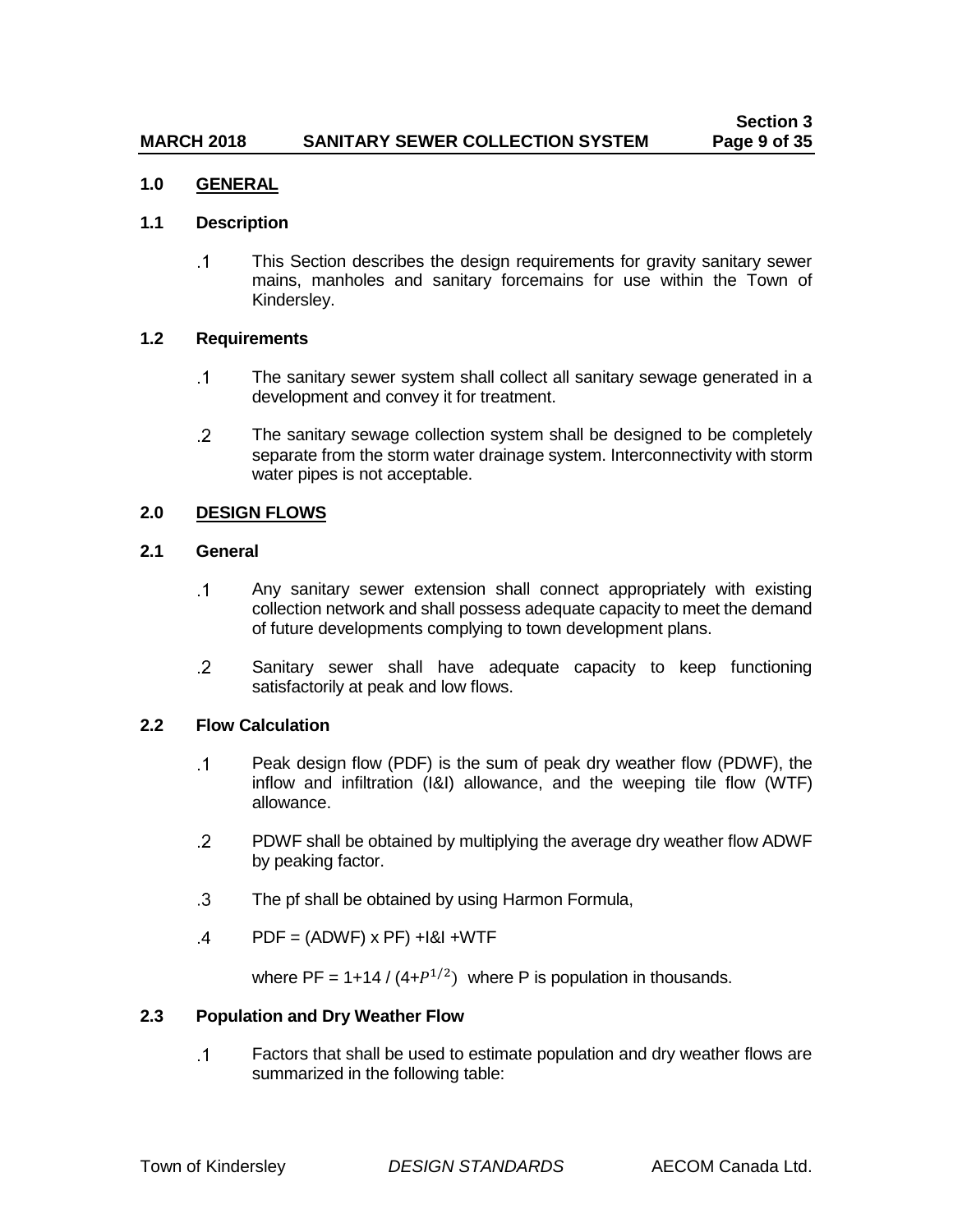### **MARCH 2018 SANITARY SEWER COLLECTION SYSTEM Page 9 of 35**

#### **1.0 GENERAL**

#### **1.1 Description**

 $\cdot$ 1 This Section describes the design requirements for gravity sanitary sewer mains, manholes and sanitary forcemains for use within the Town of Kindersley.

#### **1.2 Requirements**

- $\cdot$ 1 The sanitary sewer system shall collect all sanitary sewage generated in a development and convey it for treatment.
- $\overline{2}$ The sanitary sewage collection system shall be designed to be completely separate from the storm water drainage system. Interconnectivity with storm water pipes is not acceptable.

#### **2.0 DESIGN FLOWS**

#### **2.1 General**

- $\cdot$ 1 Any sanitary sewer extension shall connect appropriately with existing collection network and shall possess adequate capacity to meet the demand of future developments complying to town development plans.
- $\overline{2}$ Sanitary sewer shall have adequate capacity to keep functioning satisfactorily at peak and low flows.

#### **2.2 Flow Calculation**

- $\cdot$ 1 Peak design flow (PDF) is the sum of peak dry weather flow (PDWF), the inflow and infiltration (I&I) allowance, and the weeping tile flow (WTF) allowance.
- $\overline{2}$ PDWF shall be obtained by multiplying the average dry weather flow ADWF by peaking factor.
- $\cdot$ 3 The pf shall be obtained by using Harmon Formula,
- $\overline{A}$  $PDF = (ADWF) \times PF$ ) + $181 + WTF$

where PF = 1+14 /  $(4+P^{1/2})$  where P is population in thousands.

#### **2.3 Population and Dry Weather Flow**

 $\cdot$ 1 Factors that shall be used to estimate population and dry weather flows are summarized in the following table: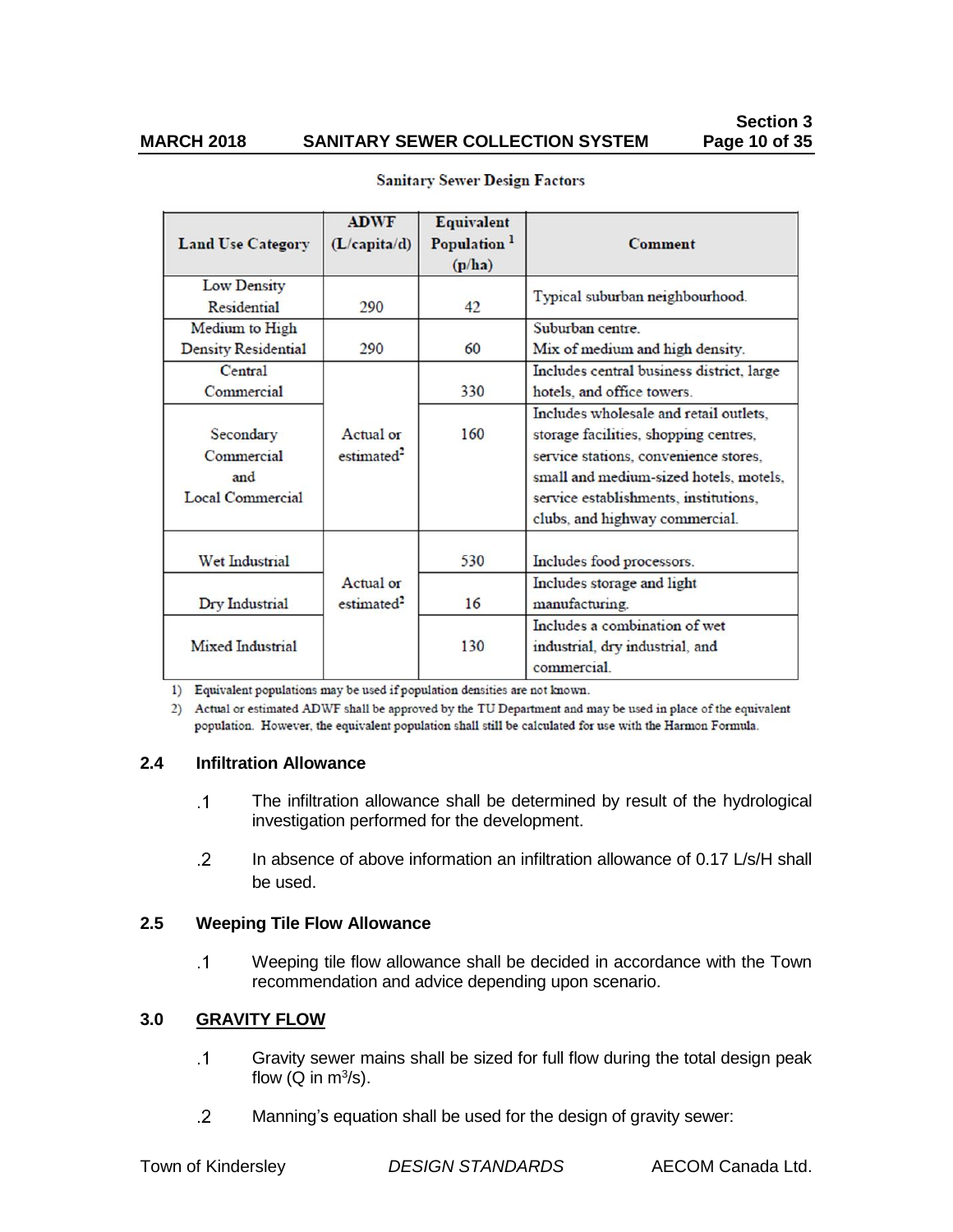### **MARCH 2018 SANITARY SEWER COLLECTION SYSTEM Page 10 of 35**

|                            | <b>ADWF</b>            | <b>Equivalent</b>       |                                           |
|----------------------------|------------------------|-------------------------|-------------------------------------------|
| <b>Land Use Category</b>   | (L/capita/d)           | Population <sup>1</sup> | <b>Comment</b>                            |
|                            |                        | (p/ha)                  |                                           |
| Low Density                |                        |                         | Typical suburban neighbourhood.           |
| Residential                | 290                    | 42                      |                                           |
| Medium to High             |                        |                         | Suburban centre.                          |
| <b>Density Residential</b> | 290                    | 60                      | Mix of medium and high density.           |
| Central                    |                        |                         | Includes central business district, large |
| Commercial                 |                        | 330                     | hotels, and office towers.                |
|                            |                        |                         | Includes wholesale and retail outlets.    |
| Secondary                  | Actual or              | 160                     | storage facilities, shopping centres,     |
| Commercial                 | estimated <sup>2</sup> |                         | service stations, convenience stores,     |
| and                        |                        |                         | small and medium-sized hotels, motels,    |
| Local Commercial           |                        |                         | service establishments, institutions,     |
|                            |                        |                         | clubs, and highway commercial.            |
|                            |                        |                         |                                           |
| Wet Industrial             |                        | 530                     | Includes food processors.                 |
|                            | Actual or              |                         | Includes storage and light                |
| Dry Industrial             | estimated <sup>2</sup> | 16                      | manufacturing.                            |
|                            |                        |                         | Includes a combination of wet             |
| Mixed Industrial           |                        | 130                     | industrial, dry industrial, and           |
|                            |                        |                         | commercial.                               |

#### **Sanitary Sewer Design Factors**

1) Equivalent populations may be used if population densities are not known.

2) Actual or estimated ADWF shall be approved by the TU Department and may be used in place of the equivalent population. However, the equivalent population shall still be calculated for use with the Harmon Formula.

#### **2.4 Infiltration Allowance**

- $\cdot$ 1 The infiltration allowance shall be determined by result of the hydrological investigation performed for the development.
- $\overline{2}$ In absence of above information an infiltration allowance of 0.17 L/s/H shall be used.

#### **2.5 Weeping Tile Flow Allowance**

 $\cdot$ 1 Weeping tile flow allowance shall be decided in accordance with the Town recommendation and advice depending upon scenario.

#### **3.0 GRAVITY FLOW**

- $\cdot$ 1 Gravity sewer mains shall be sized for full flow during the total design peak flow (Q in  $m^3/s$ ).
- $\overline{2}$ Manning's equation shall be used for the design of gravity sewer: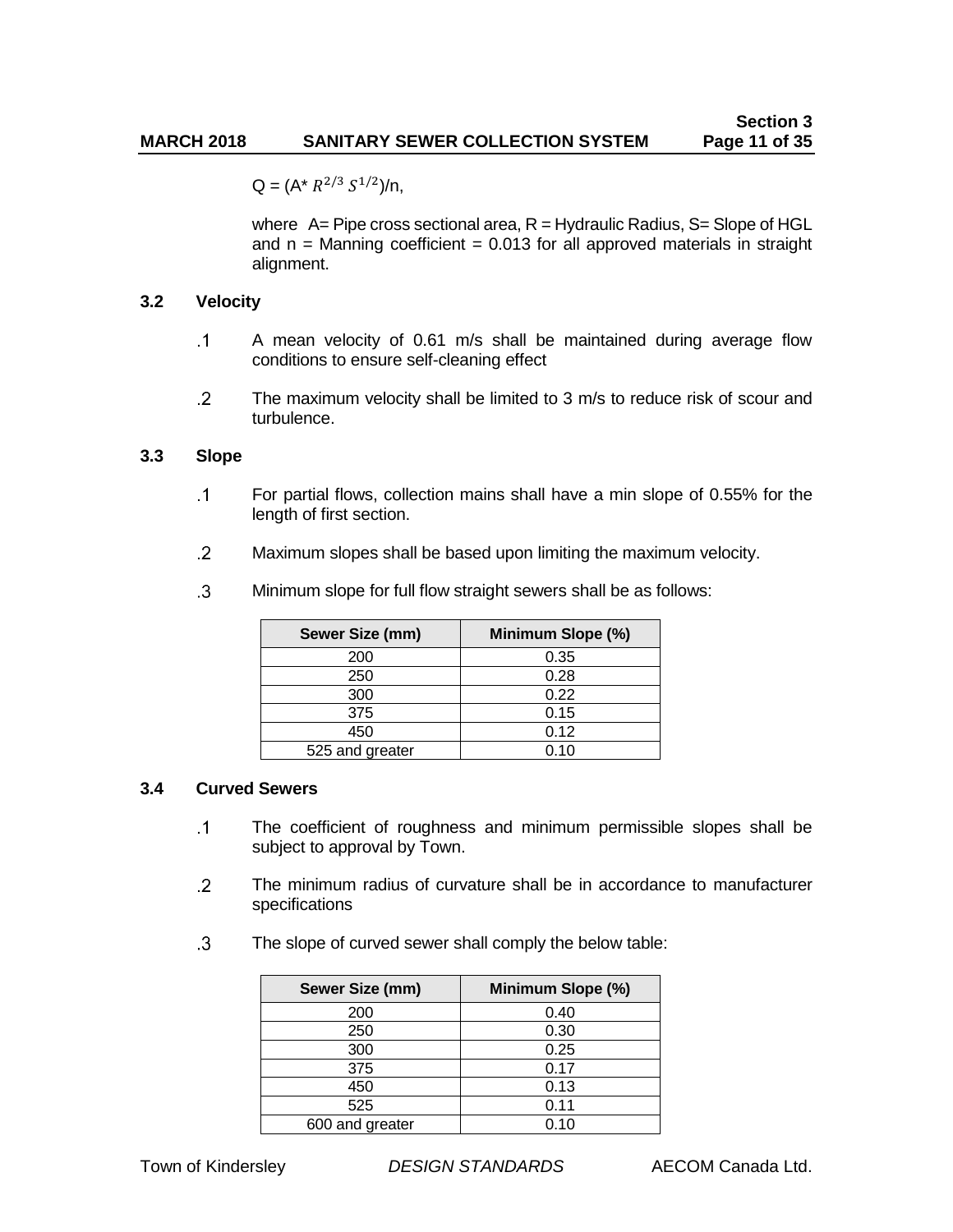$Q = (A^* R^{2/3} S^{1/2})/n,$ 

where  $A=$  Pipe cross sectional area,  $R = H$ ydraulic Radius, S= Slope of HGL and  $n =$  Manning coefficient = 0.013 for all approved materials in straight alignment.

#### **3.2 Velocity**

- $\cdot$ 1 A mean velocity of 0.61 m/s shall be maintained during average flow conditions to ensure self-cleaning effect
- $\overline{2}$ The maximum velocity shall be limited to 3 m/s to reduce risk of scour and turbulence.

#### **3.3 Slope**

- $\cdot$ 1 For partial flows, collection mains shall have a min slope of 0.55% for the length of first section.
- $\overline{2}$ Maximum slopes shall be based upon limiting the maximum velocity.

| Sewer Size (mm) | Minimum Slope (%) |
|-----------------|-------------------|
| 200             | 0.35              |
| 250             | 0.28              |
| 300             | 0.22              |
| 375             | 0.15              |
| 450             | 0.12              |
| 525 and greater | 0.10              |

 $\cdot$ 3 Minimum slope for full flow straight sewers shall be as follows:

#### **3.4 Curved Sewers**

- $\cdot$ 1 The coefficient of roughness and minimum permissible slopes shall be subject to approval by Town.
- $\overline{2}$ The minimum radius of curvature shall be in accordance to manufacturer specifications
- $\cdot$ 3 The slope of curved sewer shall comply the below table:

| Sewer Size (mm) | Minimum Slope (%) |
|-----------------|-------------------|
| 200             | 0.40              |
| 250             | 0.30              |
| 300             | 0.25              |
| 375             | 0.17              |
| 450             | 0.13              |
| 525             | 0.11              |
| 600 and greater | 0.10              |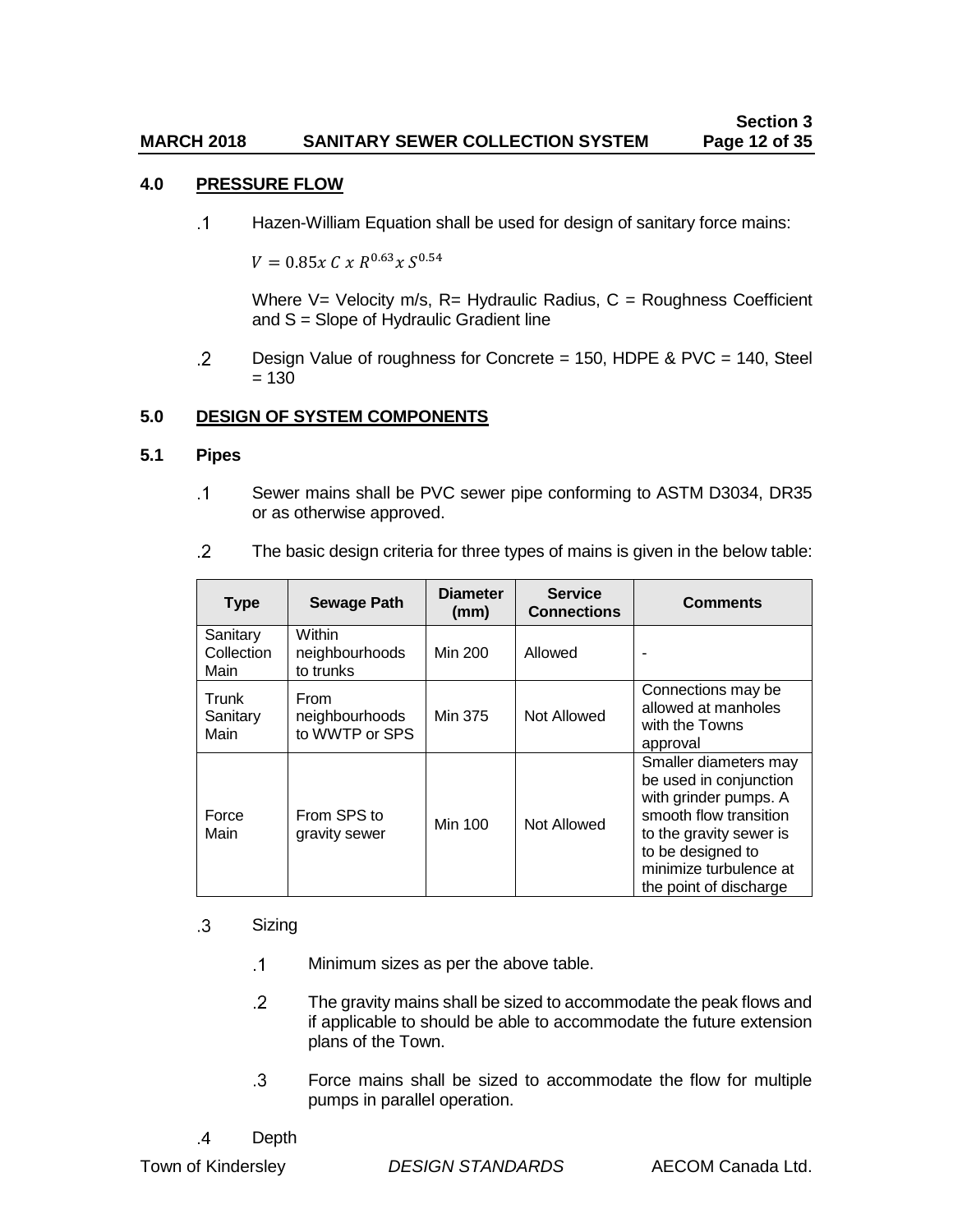### **4.0 PRESSURE FLOW**

 $\cdot$ 1 Hazen-William Equation shall be used for design of sanitary force mains:

 $V = 0.85x C x R^{0.63} x S^{0.54}$ 

Where  $V=$  Velocity m/s, R= Hydraulic Radius, C = Roughness Coefficient and S = Slope of Hydraulic Gradient line

 $\cdot$  2 Design Value of roughness for Concrete = 150, HDPE & PVC = 140, Steel  $= 130$ 

#### **5.0 DESIGN OF SYSTEM COMPONENTS**

#### **5.1 Pipes**

 $\cdot$ 1 Sewer mains shall be PVC sewer pipe conforming to ASTM D3034, DR35 or as otherwise approved.

| <b>Type</b>                    | <b>Sewage Path</b>                       | <b>Diameter</b><br>(mm) | <b>Service</b><br><b>Connections</b> | <b>Comments</b>                                                                                                                                                                                        |
|--------------------------------|------------------------------------------|-------------------------|--------------------------------------|--------------------------------------------------------------------------------------------------------------------------------------------------------------------------------------------------------|
| Sanitary<br>Collection<br>Main | Within<br>neighbourhoods<br>to trunks    | <b>Min 200</b>          | Allowed                              |                                                                                                                                                                                                        |
| Trunk<br>Sanitary<br>Main      | From<br>neighbourhoods<br>to WWTP or SPS | Min 375                 | Not Allowed                          | Connections may be<br>allowed at manholes<br>with the Towns<br>approval                                                                                                                                |
| Force<br>Main                  | From SPS to<br>gravity sewer             | <b>Min 100</b>          | Not Allowed                          | Smaller diameters may<br>be used in conjunction<br>with grinder pumps. A<br>smooth flow transition<br>to the gravity sewer is<br>to be designed to<br>minimize turbulence at<br>the point of discharge |

 $\overline{2}$ The basic design criteria for three types of mains is given in the below table:

#### $\cdot$ 3 Sizing

- $\cdot$ 1 Minimum sizes as per the above table.
- $\overline{2}$ The gravity mains shall be sized to accommodate the peak flows and if applicable to should be able to accommodate the future extension plans of the Town.
- $\cdot$ 3 Force mains shall be sized to accommodate the flow for multiple pumps in parallel operation.
- $\overline{A}$ Depth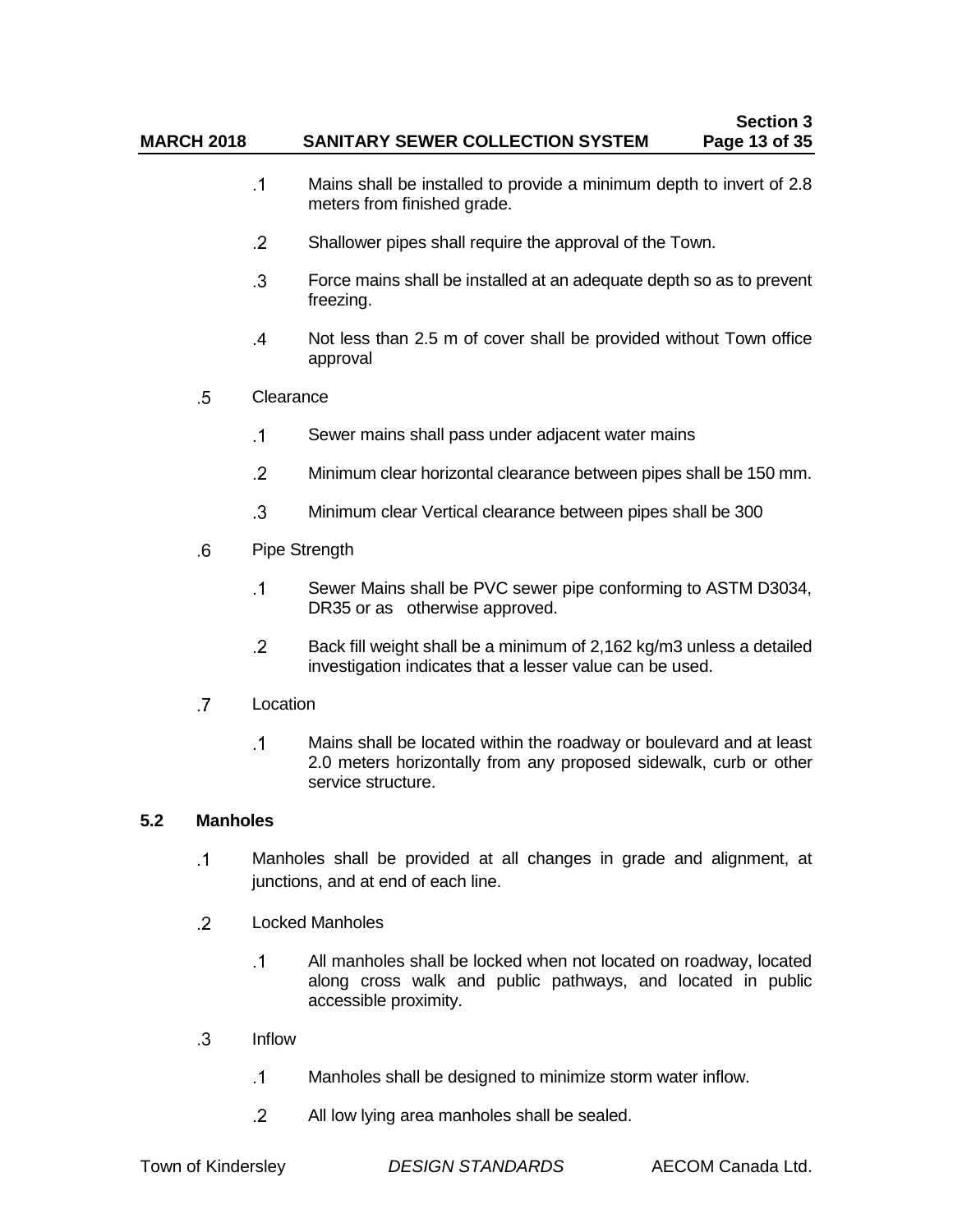- $\cdot$ 1 Mains shall be installed to provide a minimum depth to invert of 2.8 meters from finished grade.
- $\cdot$  2 Shallower pipes shall require the approval of the Town.
- $\cdot$ 3 Force mains shall be installed at an adequate depth so as to prevent freezing.
- Not less than 2.5 m of cover shall be provided without Town office  $\overline{A}$ approval
- $\overline{5}$ Clearance
	- $\cdot$ 1 Sewer mains shall pass under adjacent water mains
	- $\overline{2}$ Minimum clear horizontal clearance between pipes shall be 150 mm.
	- $\cdot$  3 Minimum clear Vertical clearance between pipes shall be 300
- .6 Pipe Strength
	- $\cdot$ 1 Sewer Mains shall be PVC sewer pipe conforming to ASTM D3034, DR35 or as otherwise approved.
	- $\cdot$  2 Back fill weight shall be a minimum of 2,162 kg/m3 unless a detailed investigation indicates that a lesser value can be used.
- $\overline{.7}$ Location
	- $\cdot$ 1 Mains shall be located within the roadway or boulevard and at least 2.0 meters horizontally from any proposed sidewalk, curb or other service structure.

#### **5.2 Manholes**

- $\cdot$ 1 Manholes shall be provided at all changes in grade and alignment, at junctions, and at end of each line.
- $\overline{2}$ Locked Manholes
	- $\cdot$ 1 All manholes shall be locked when not located on roadway, located along cross walk and public pathways, and located in public accessible proximity.
- .3 Inflow
	- $\cdot$ 1 Manholes shall be designed to minimize storm water inflow.
	- $\overline{2}$ All low lying area manholes shall be sealed.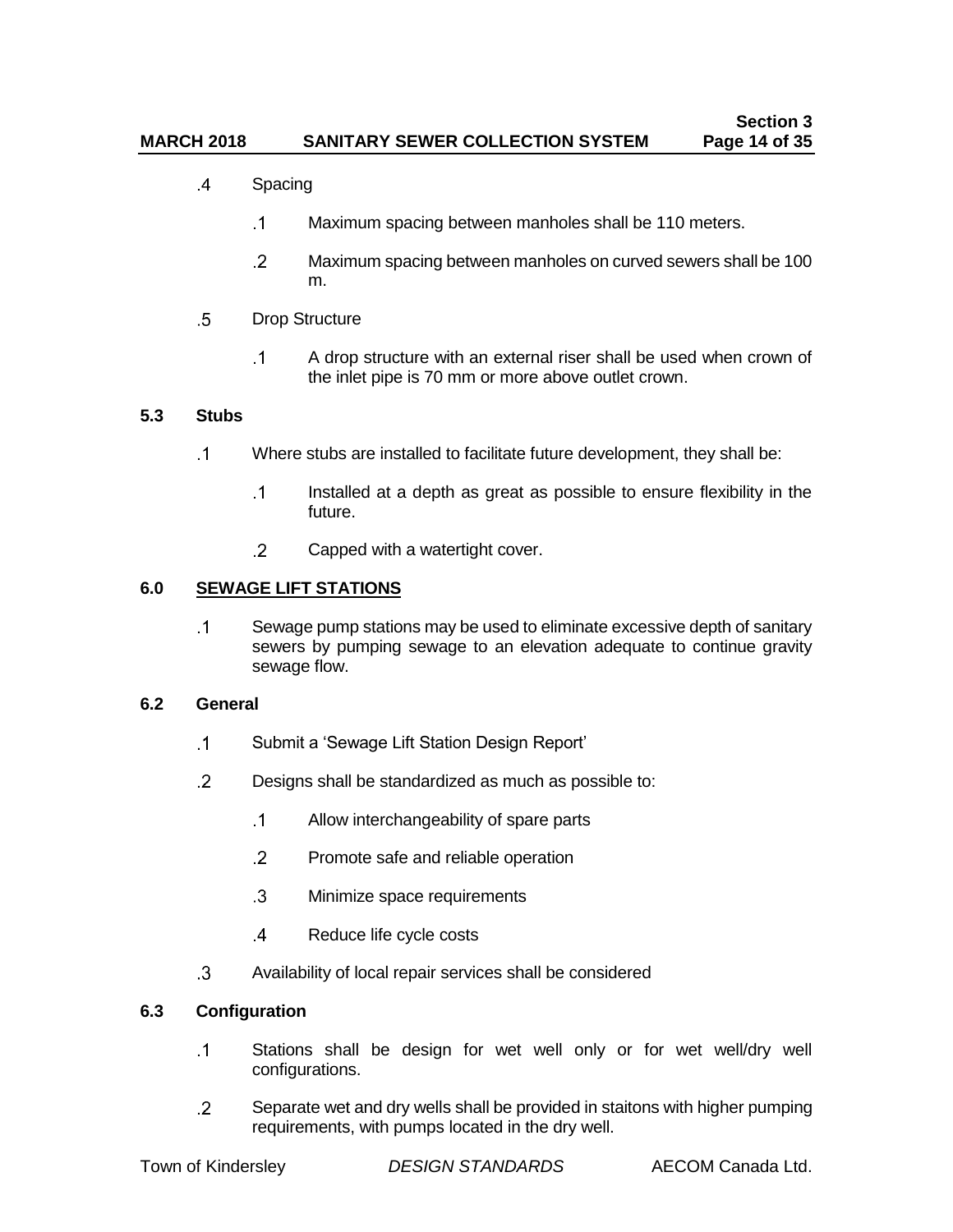#### **Section 3 MARCH 2018 SANITARY SEWER COLLECTION SYSTEM Page 14 of 35**

- $\overline{4}$ Spacing
	- $\cdot$ 1 Maximum spacing between manholes shall be 110 meters.
	- $\cdot$  2 Maximum spacing between manholes on curved sewers shall be 100 m.
- $.5\,$ Drop Structure
	- $\cdot$ 1 A drop structure with an external riser shall be used when crown of the inlet pipe is 70 mm or more above outlet crown.

#### **5.3 Stubs**

- $\cdot$ 1 Where stubs are installed to facilitate future development, they shall be:
	- $\cdot$ 1 Installed at a depth as great as possible to ensure flexibility in the future.
	- $\cdot$ Capped with a watertight cover.

#### **6.0 SEWAGE LIFT STATIONS**

 $\cdot$ 1 Sewage pump stations may be used to eliminate excessive depth of sanitary sewers by pumping sewage to an elevation adequate to continue gravity sewage flow.

#### **6.2 General**

- $\cdot$ 1 Submit a 'Sewage Lift Station Design Report'
- $\overline{2}$ Designs shall be standardized as much as possible to:
	- $\cdot$ 1 Allow interchangeability of spare parts
	- $\cdot$  2 Promote safe and reliable operation
	- $\cdot$ 3 Minimize space requirements
	- $\overline{A}$ Reduce life cycle costs
- $\cdot$ 3 Availability of local repair services shall be considered

#### **6.3 Configuration**

- $\cdot$ 1 Stations shall be design for wet well only or for wet well/dry well configurations.
- $\cdot$  2 Separate wet and dry wells shall be provided in staitons with higher pumping requirements, with pumps located in the dry well.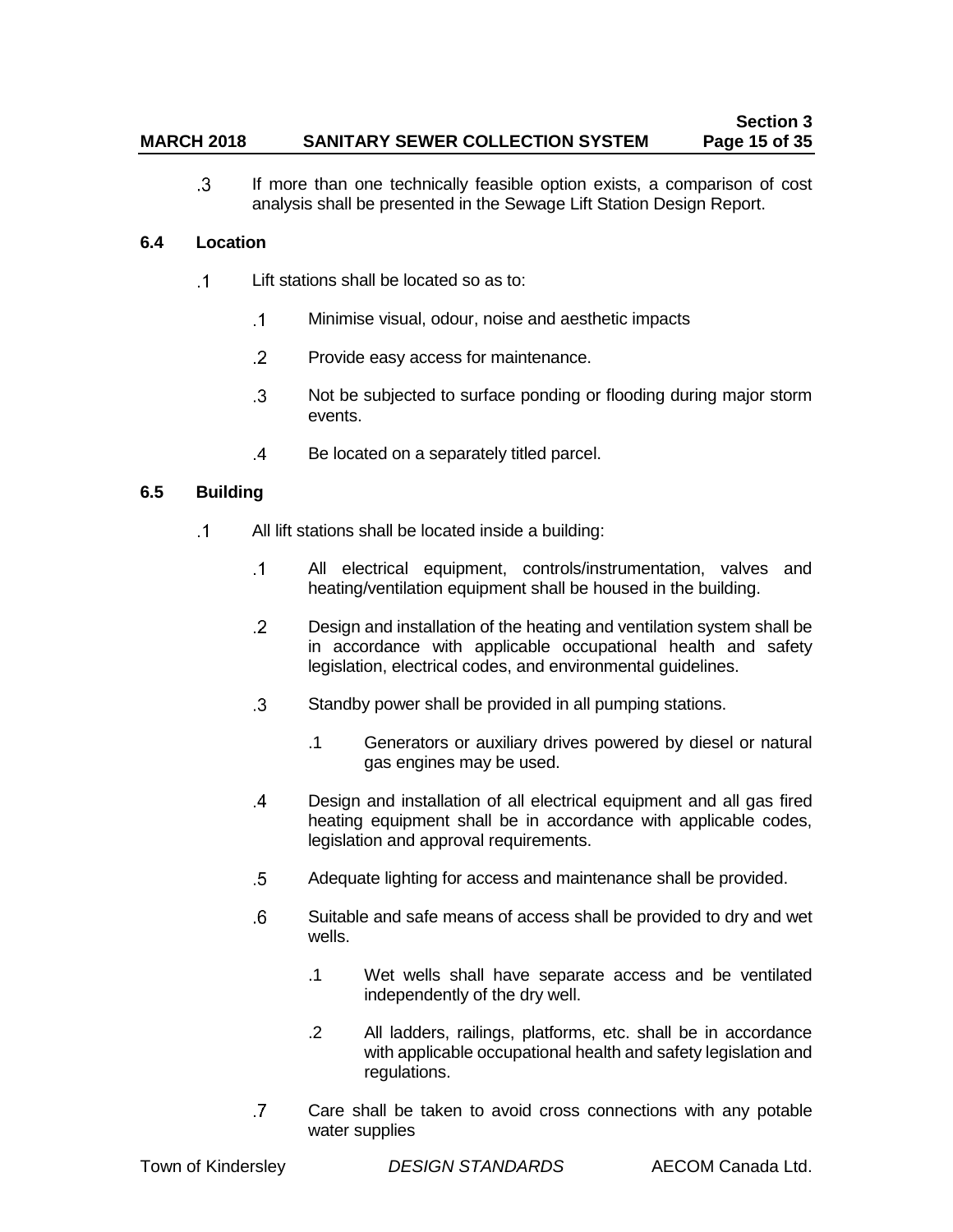#### **Section 3 MARCH 2018 SANITARY SEWER COLLECTION SYSTEM Page 15 of 35**

3 If more than one technically feasible option exists, a comparison of cost analysis shall be presented in the Sewage Lift Station Design Report.

#### **6.4 Location**

- $\cdot$ 1 Lift stations shall be located so as to:
	- $\cdot$ 1 Minimise visual, odour, noise and aesthetic impacts
	- $\cdot$  2 Provide easy access for maintenance.
	- $\cdot$ 3 Not be subjected to surface ponding or flooding during major storm events.
	- $\overline{A}$ Be located on a separately titled parcel.

#### **6.5 Building**

- $\cdot$ 1 All lift stations shall be located inside a building:
	- $\cdot$ 1 All electrical equipment, controls/instrumentation, valves and heating/ventilation equipment shall be housed in the building.
	- $\cdot$  2 Design and installation of the heating and ventilation system shall be in accordance with applicable occupational health and safety legislation, electrical codes, and environmental guidelines.
	- $\cdot$  3 Standby power shall be provided in all pumping stations.
		- .1 Generators or auxiliary drives powered by diesel or natural gas engines may be used.
	- $\overline{4}$ Design and installation of all electrical equipment and all gas fired heating equipment shall be in accordance with applicable codes, legislation and approval requirements.
	- $.5\,$ Adequate lighting for access and maintenance shall be provided.
	- $6^{\circ}$ Suitable and safe means of access shall be provided to dry and wet wells.
		- .1 Wet wells shall have separate access and be ventilated independently of the dry well.
		- .2 All ladders, railings, platforms, etc. shall be in accordance with applicable occupational health and safety legislation and regulations.
	- $\cdot$ 7 Care shall be taken to avoid cross connections with any potable water supplies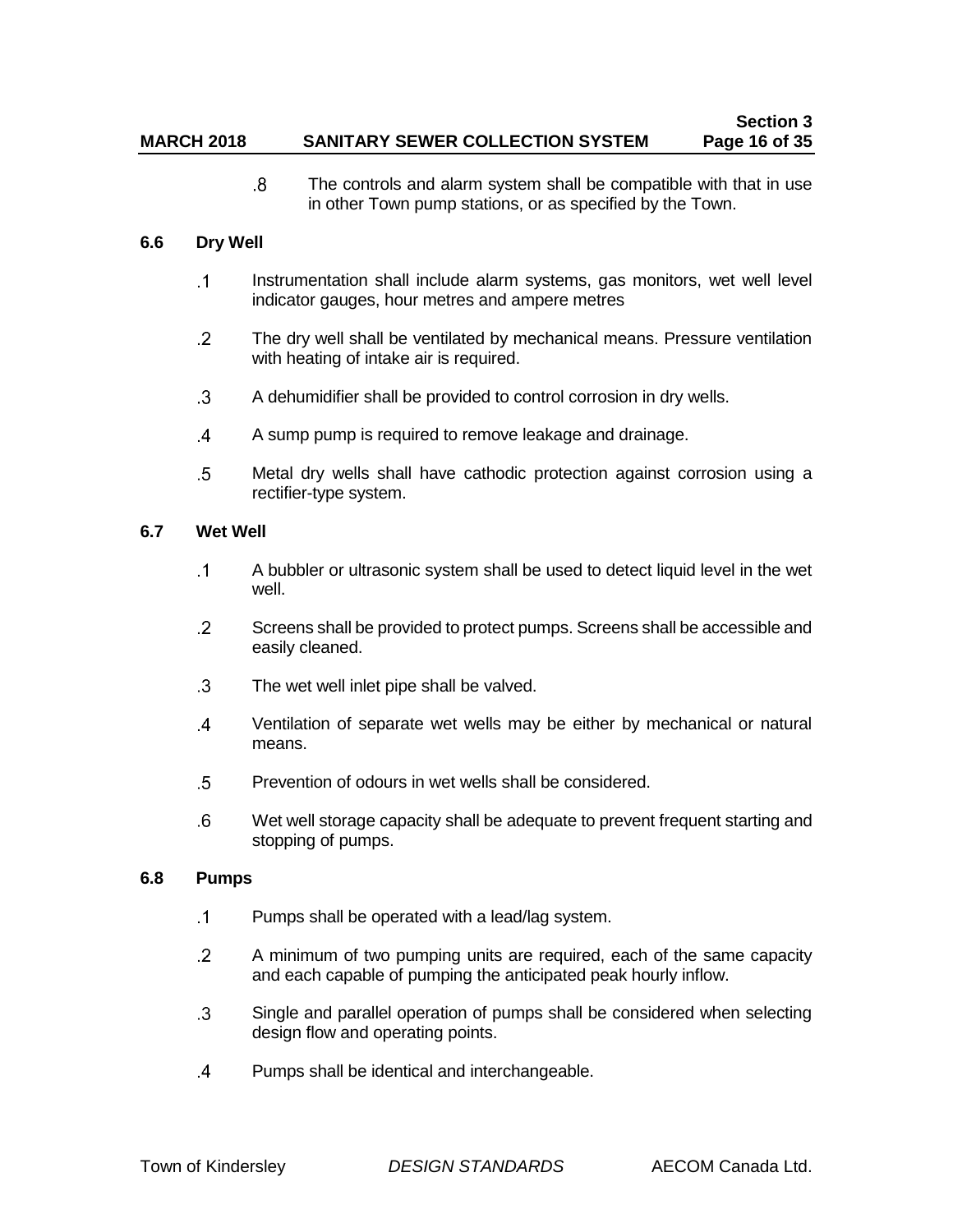#### **Section 3 MARCH 2018 SANITARY SEWER COLLECTION SYSTEM Page 16 of 35**

 $\overline{8}$ The controls and alarm system shall be compatible with that in use in other Town pump stations, or as specified by the Town.

#### **6.6 Dry Well**

- $\cdot$ 1 Instrumentation shall include alarm systems, gas monitors, wet well level indicator gauges, hour metres and ampere metres
- The dry well shall be ventilated by mechanical means. Pressure ventilation  $\cdot$  2 with heating of intake air is required.
- 3 A dehumidifier shall be provided to control corrosion in dry wells.
- $\overline{A}$ A sump pump is required to remove leakage and drainage.
- $.5\,$ Metal dry wells shall have cathodic protection against corrosion using a rectifier-type system.

#### **6.7 Wet Well**

- $\cdot$ 1 A bubbler or ultrasonic system shall be used to detect liquid level in the wet well.
- $\overline{2}$ Screens shall be provided to protect pumps. Screens shall be accessible and easily cleaned.
- $\cdot$ 3 The wet well inlet pipe shall be valved.
- $\overline{A}$ Ventilation of separate wet wells may be either by mechanical or natural means.
- $.5\,$ Prevention of odours in wet wells shall be considered.
- 6 Wet well storage capacity shall be adequate to prevent frequent starting and stopping of pumps.

#### **6.8 Pumps**

- $\cdot$ 1 Pumps shall be operated with a lead/lag system.
- $\overline{2}$ A minimum of two pumping units are required, each of the same capacity and each capable of pumping the anticipated peak hourly inflow.
- $\cdot$ 3 Single and parallel operation of pumps shall be considered when selecting design flow and operating points.
- $\overline{A}$ Pumps shall be identical and interchangeable.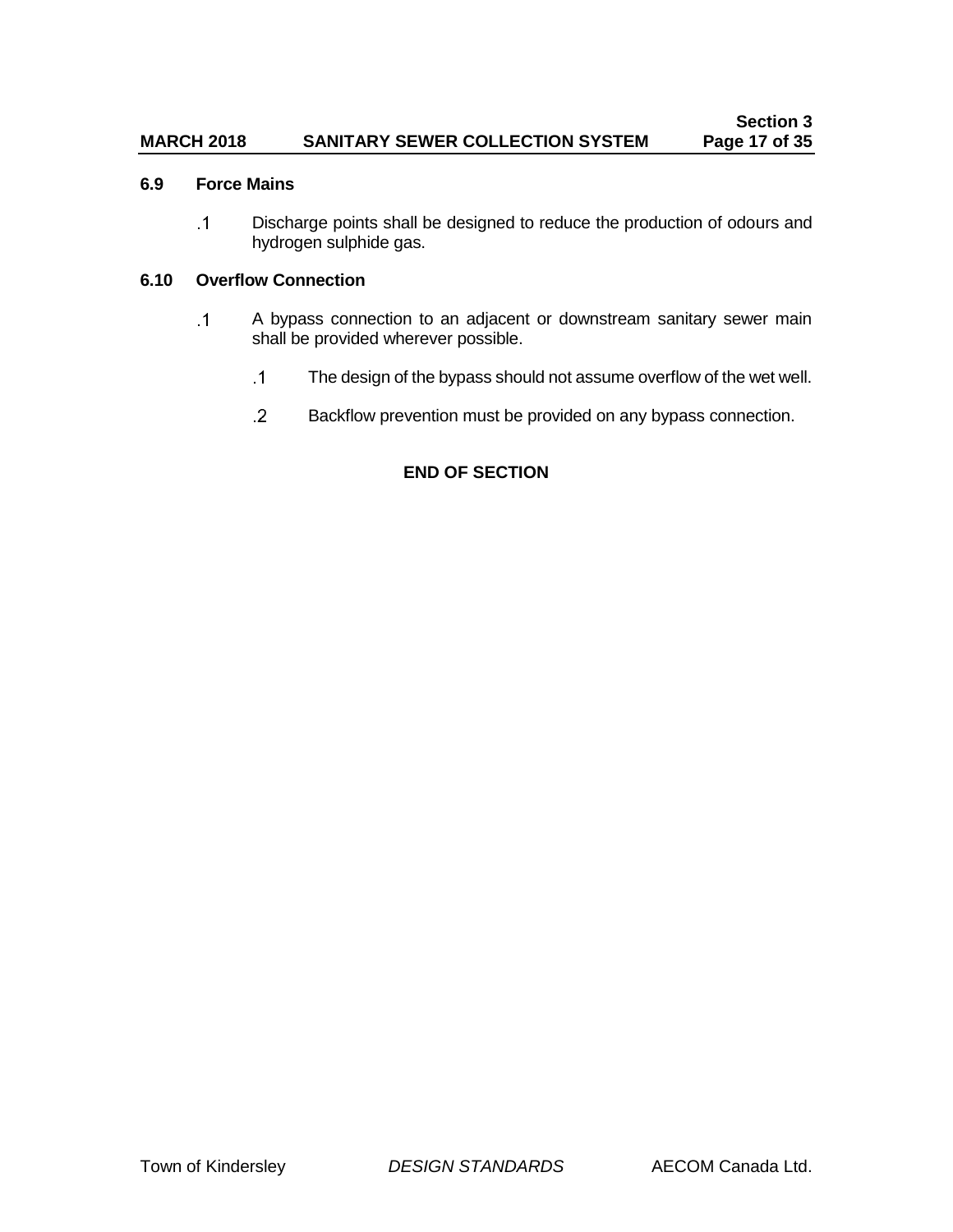#### **Section 3 MARCH 2018 SANITARY SEWER COLLECTION SYSTEM Page 17 of 35**

#### **6.9 Force Mains**

 $\cdot$ 1 Discharge points shall be designed to reduce the production of odours and hydrogen sulphide gas.

#### **6.10 Overflow Connection**

- $\cdot$ 1 A bypass connection to an adjacent or downstream sanitary sewer main shall be provided wherever possible.
	- $\cdot$ 1 The design of the bypass should not assume overflow of the wet well.
	- $\cdot$  2 Backflow prevention must be provided on any bypass connection.

#### **END OF SECTION**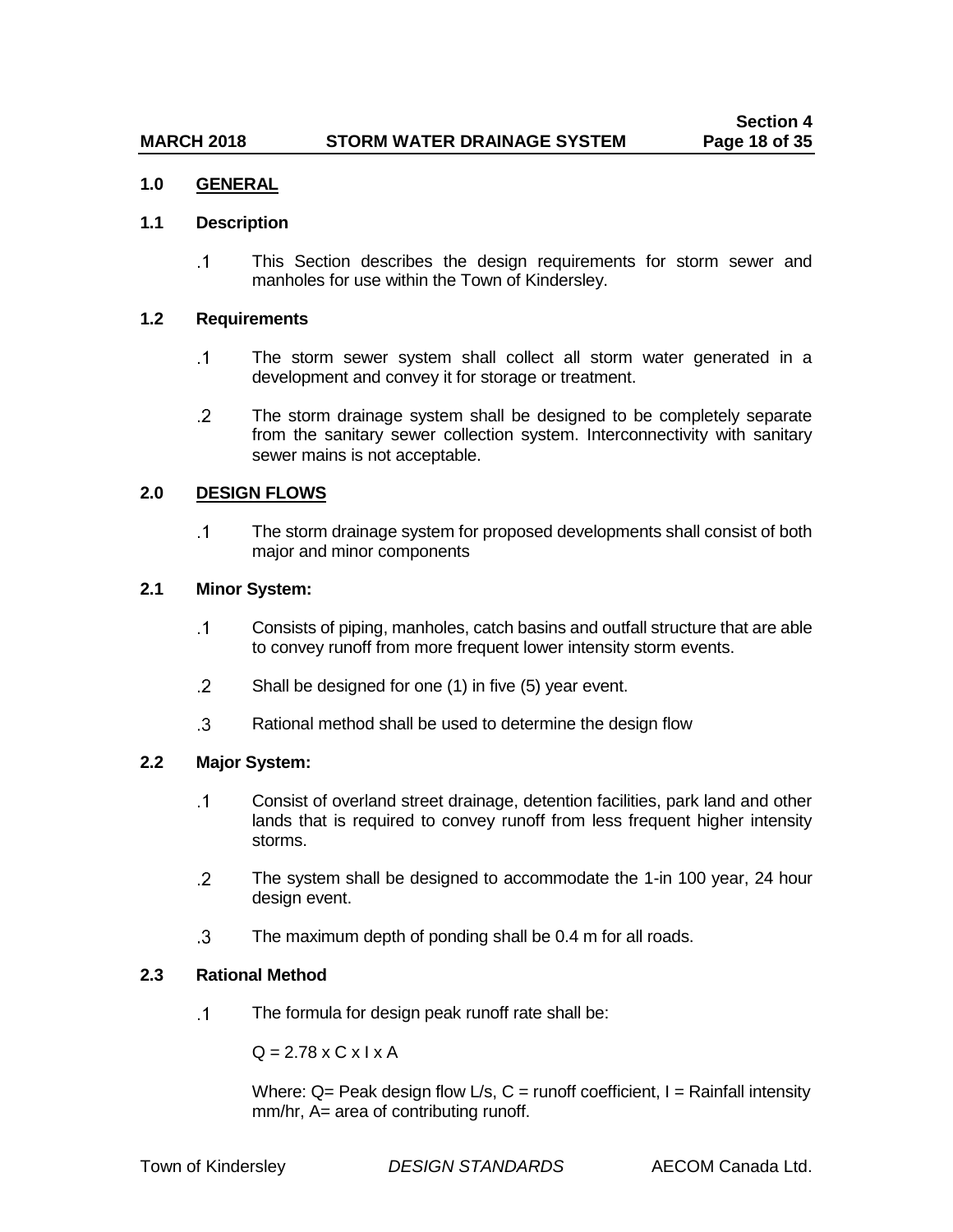#### **MARCH 2018 STORM WATER DRAINAGE SYSTEM Page 18 of 35**

#### **1.0 GENERAL**

#### **1.1 Description**

 $\cdot$ 1 This Section describes the design requirements for storm sewer and manholes for use within the Town of Kindersley.

#### **1.2 Requirements**

- $\cdot$ 1 The storm sewer system shall collect all storm water generated in a development and convey it for storage or treatment.
- $\cdot$  2 The storm drainage system shall be designed to be completely separate from the sanitary sewer collection system. Interconnectivity with sanitary sewer mains is not acceptable.

#### **2.0 DESIGN FLOWS**

 $\cdot$ 1 The storm drainage system for proposed developments shall consist of both major and minor components

#### **2.1 Minor System:**

- $\cdot$ 1 Consists of piping, manholes, catch basins and outfall structure that are able to convey runoff from more frequent lower intensity storm events.
- $\overline{2}$ Shall be designed for one (1) in five (5) year event.
- $\cdot$ 3 Rational method shall be used to determine the design flow

#### **2.2 Major System:**

- $\cdot$ 1 Consist of overland street drainage, detention facilities, park land and other lands that is required to convey runoff from less frequent higher intensity storms.
- $\cdot$  2 The system shall be designed to accommodate the 1-in 100 year, 24 hour design event.
- $\cdot$ 3 The maximum depth of ponding shall be 0.4 m for all roads.

#### **2.3 Rational Method**

 $\cdot$ 1 The formula for design peak runoff rate shall be:

 $Q = 2.78 \times C \times I \times A$ 

Where:  $Q =$  Peak design flow  $L/s$ ,  $C =$  runoff coefficient,  $I =$  Rainfall intensity mm/hr, A= area of contributing runoff.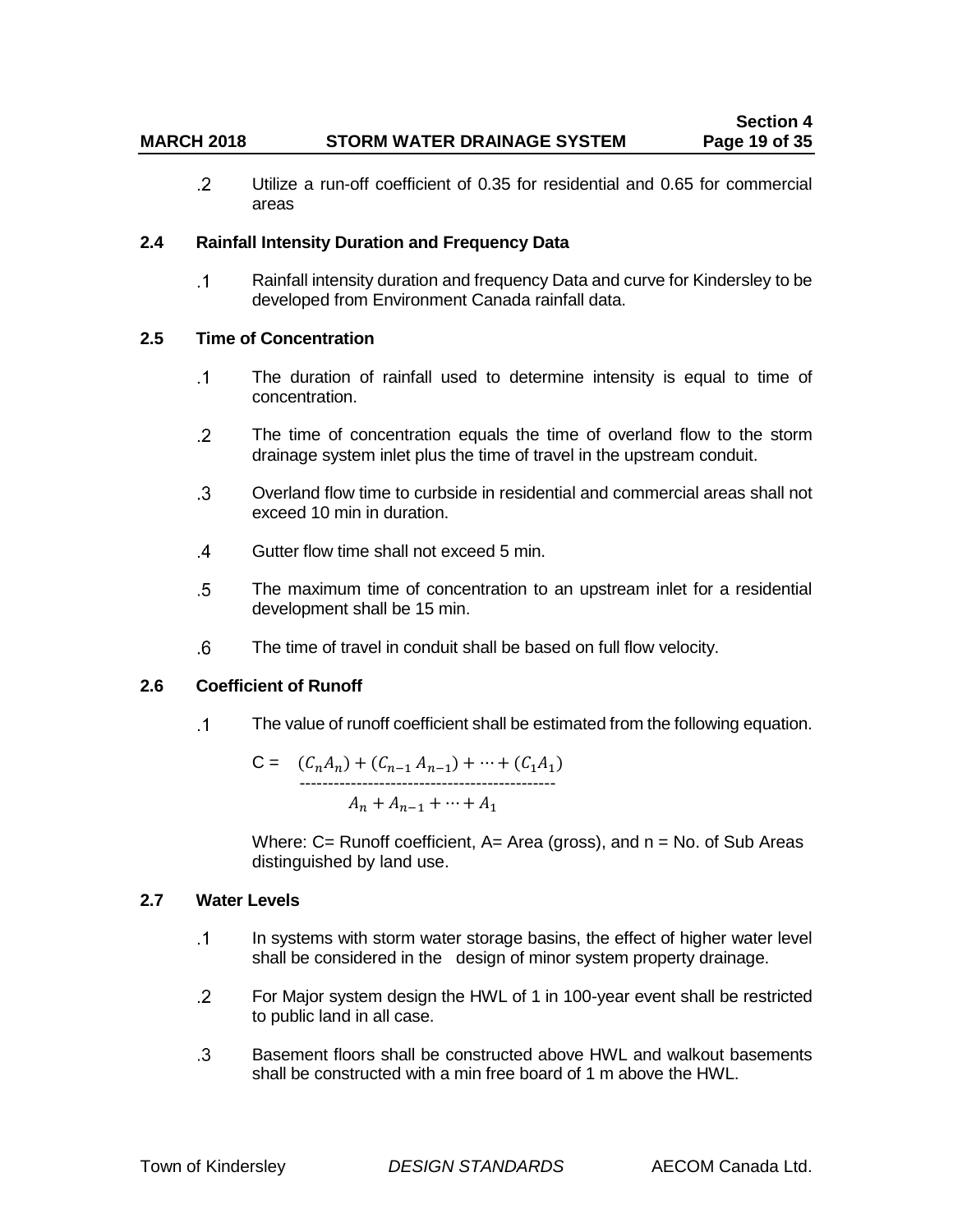#### **MARCH 2018 STORM WATER DRAINAGE SYSTEM Page 19 of 35**

Utilize a run-off coefficient of 0.35 for residential and 0.65 for commercial  $\cdot$  2 areas

#### **2.4 Rainfall Intensity Duration and Frequency Data**

 $\cdot$ 1 Rainfall intensity duration and frequency Data and curve for Kindersley to be developed from Environment Canada rainfall data.

### **2.5 Time of Concentration**

- $\cdot$ 1 The duration of rainfall used to determine intensity is equal to time of concentration.
- $\cdot$  2 The time of concentration equals the time of overland flow to the storm drainage system inlet plus the time of travel in the upstream conduit.
- $\cdot$ 3 Overland flow time to curbside in residential and commercial areas shall not exceed 10 min in duration.
- $\overline{A}$ Gutter flow time shall not exceed 5 min.
- $.5\,$ The maximum time of concentration to an upstream inlet for a residential development shall be 15 min.
- $6 \,$ The time of travel in conduit shall be based on full flow velocity.

#### **2.6 Coefficient of Runoff**

 $\cdot$ 1 The value of runoff coefficient shall be estimated from the following equation.

$$
C = (C_n A_n) + (C_{n-1} A_{n-1}) + \dots + (C_1 A_1)
$$
  
........  

$$
A_n + A_{n-1} + \dots + A_1
$$

Where:  $C=$  Runoff coefficient,  $A=$  Area (gross), and  $n = No$ . of Sub Areas distinguished by land use.

#### **2.7 Water Levels**

- $\cdot$ 1 In systems with storm water storage basins, the effect of higher water level shall be considered in the design of minor system property drainage.
- $\overline{2}$ For Major system design the HWL of 1 in 100-year event shall be restricted to public land in all case.
- $\mathbf{3}$ Basement floors shall be constructed above HWL and walkout basements shall be constructed with a min free board of 1 m above the HWL.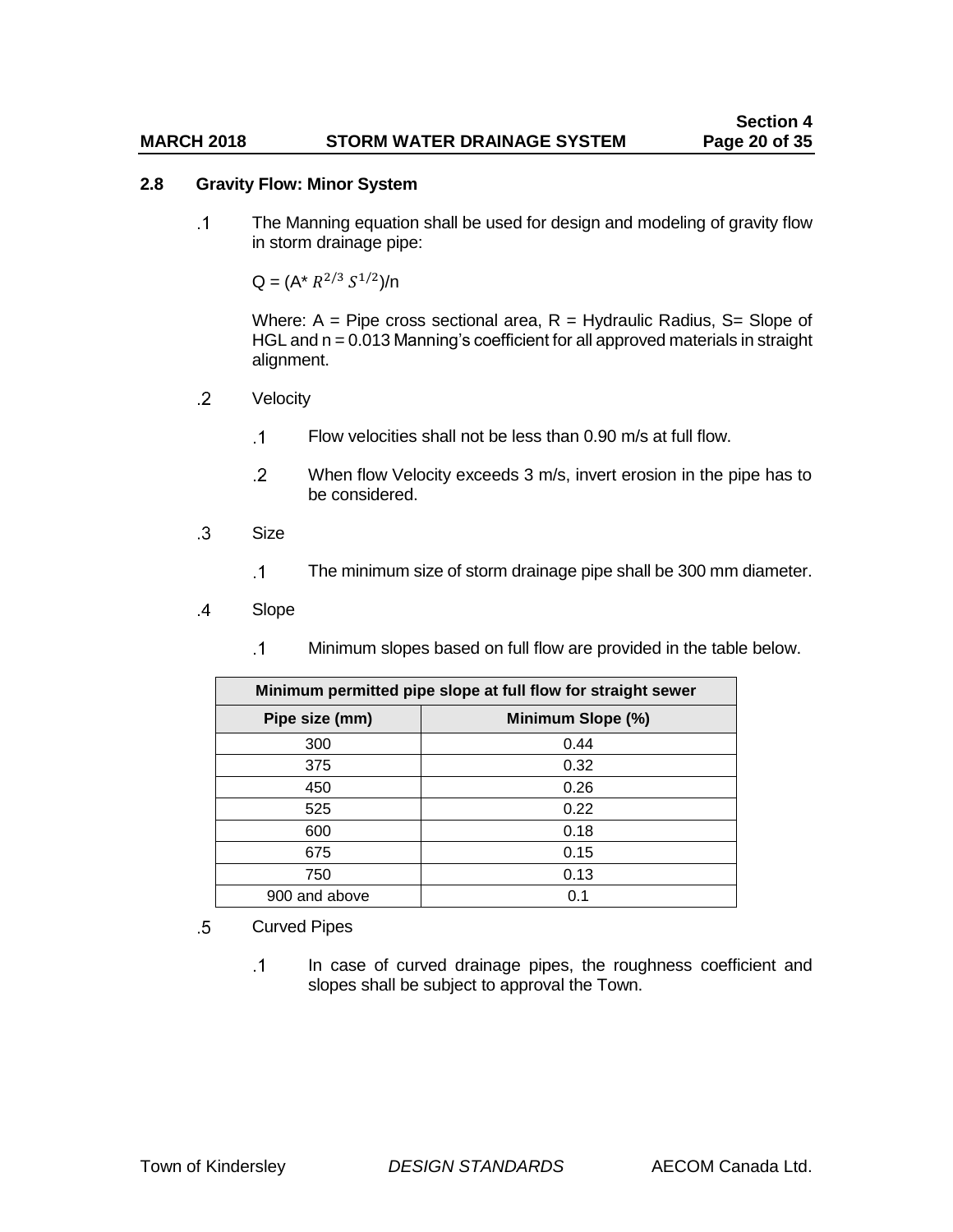### **MARCH 2018 STORM WATER DRAINAGE SYSTEM Page 20 of 35**

#### **2.8 Gravity Flow: Minor System**

 $\cdot$ 1 The Manning equation shall be used for design and modeling of gravity flow in storm drainage pipe:

 $Q = (A^* R^{2/3} S^{1/2})/n$ 

Where:  $A =$  Pipe cross sectional area,  $R =$  Hydraulic Radius, S= Slope of HGL and n = 0.013 Manning's coefficient for all approved materials in straight alignment.

- $\overline{2}$ Velocity
	- Flow velocities shall not be less than 0.90 m/s at full flow.  $\cdot$ 1
	- $\cdot$  2 When flow Velocity exceeds 3 m/s, invert erosion in the pipe has to be considered.
- $\cdot$ 3 **Size** 
	- $\cdot$ 1 The minimum size of storm drainage pipe shall be 300 mm diameter.
- $\overline{A}$ Slope
	- $\cdot$ 1 Minimum slopes based on full flow are provided in the table below.

| Minimum permitted pipe slope at full flow for straight sewer |      |  |  |
|--------------------------------------------------------------|------|--|--|
| Pipe size (mm)<br>Minimum Slope (%)                          |      |  |  |
| 300                                                          | 0.44 |  |  |
| 375                                                          | 0.32 |  |  |
| 450                                                          | 0.26 |  |  |
| 525                                                          | 0.22 |  |  |
| 600                                                          | 0.18 |  |  |
| 675                                                          | 0.15 |  |  |
| 750                                                          | 0.13 |  |  |
| 900 and above                                                | 0.1  |  |  |

- Curved Pipes  $.5\,$ 
	- $\cdot$ 1 In case of curved drainage pipes, the roughness coefficient and slopes shall be subject to approval the Town.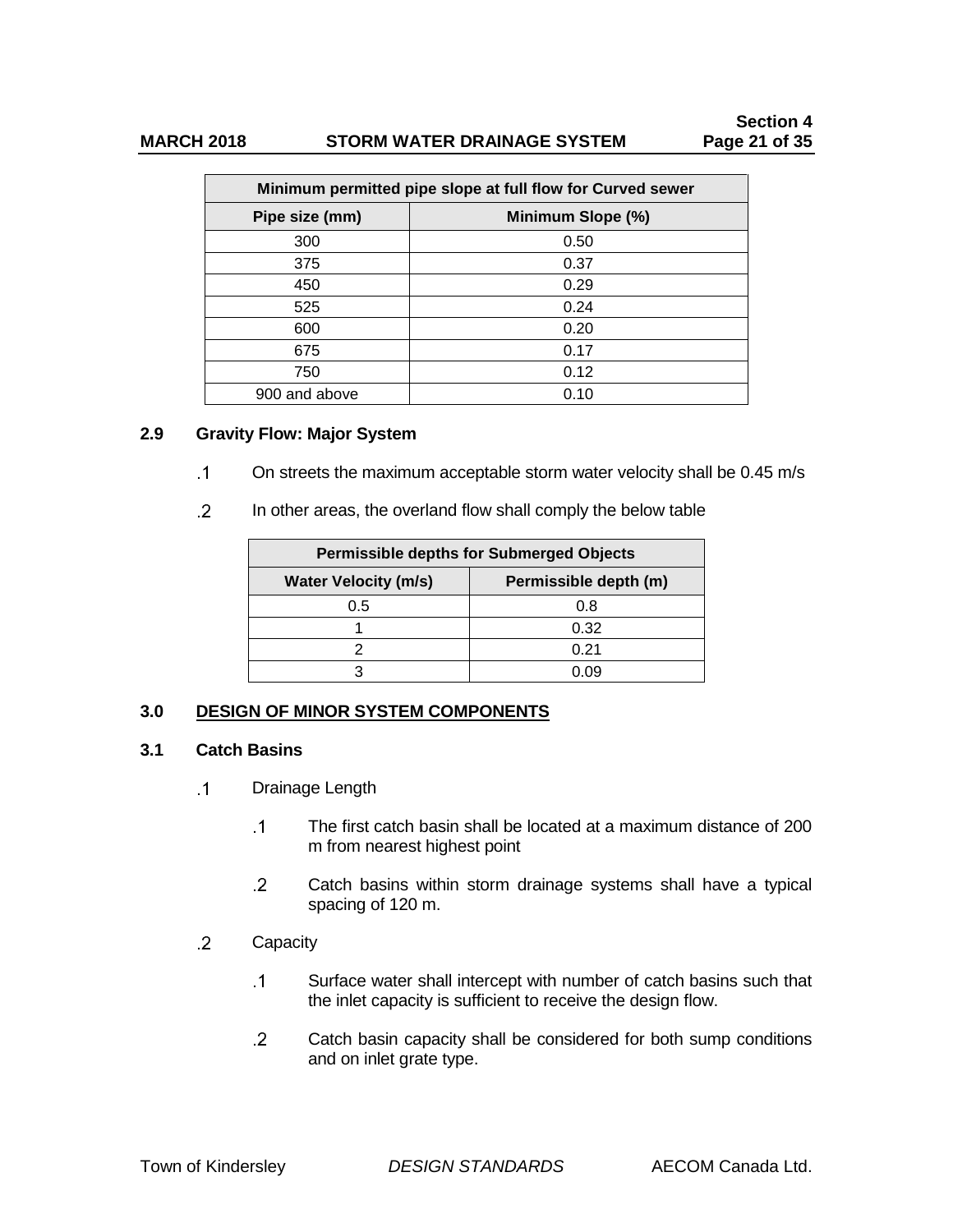### **MARCH 2018 STORM WATER DRAINAGE SYSTEM Page 21 of 35**

| Minimum permitted pipe slope at full flow for Curved sewer |                   |  |  |
|------------------------------------------------------------|-------------------|--|--|
| Pipe size (mm)                                             | Minimum Slope (%) |  |  |
| 300                                                        | 0.50              |  |  |
| 375                                                        | 0.37              |  |  |
| 450                                                        | 0.29              |  |  |
| 525                                                        | 0.24              |  |  |
| 600                                                        | 0.20              |  |  |
| 675                                                        | 0.17              |  |  |
| 750                                                        | 0.12              |  |  |
| 900 and above                                              | 0.10              |  |  |

#### **2.9 Gravity Flow: Major System**

- $\cdot$ 1 On streets the maximum acceptable storm water velocity shall be 0.45 m/s
- $\overline{2}$ In other areas, the overland flow shall comply the below table

| <b>Permissible depths for Submerged Objects</b>      |      |  |  |
|------------------------------------------------------|------|--|--|
| Permissible depth (m)<br><b>Water Velocity (m/s)</b> |      |  |  |
| 0.5                                                  | 0.8  |  |  |
|                                                      | 0.32 |  |  |
|                                                      | 0.21 |  |  |
|                                                      |      |  |  |

#### **3.0 DESIGN OF MINOR SYSTEM COMPONENTS**

#### **3.1 Catch Basins**

- $\cdot$ 1 Drainage Length
	- $\cdot$ 1 The first catch basin shall be located at a maximum distance of 200 m from nearest highest point
	- $\cdot$  2 Catch basins within storm drainage systems shall have a typical spacing of 120 m.
- $\overline{2}$ **Capacity** 
	- $\cdot$ 1 Surface water shall intercept with number of catch basins such that the inlet capacity is sufficient to receive the design flow.
	- $\cdot$  2 Catch basin capacity shall be considered for both sump conditions and on inlet grate type.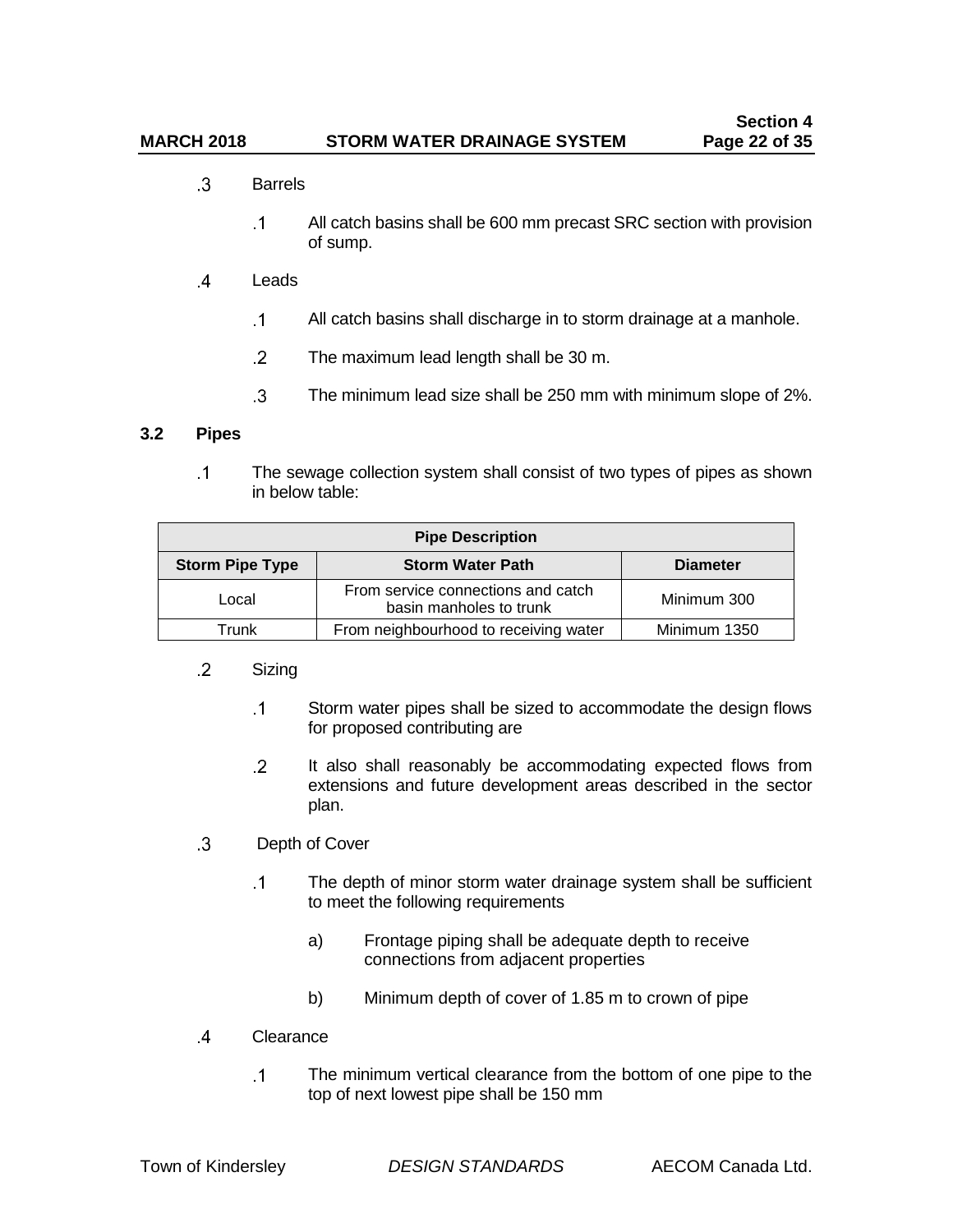### **MARCH 2018 STORM WATER DRAINAGE SYSTEM Page 22 of 35**

- .3 Barrels
	- $\cdot$ 1 All catch basins shall be 600 mm precast SRC section with provision of sump.
- $\overline{A}$ Leads
	- $\overline{.1}$ All catch basins shall discharge in to storm drainage at a manhole.
	- $\cdot$  2 The maximum lead length shall be 30 m.
	- $\cdot$ 3 The minimum lead size shall be 250 mm with minimum slope of 2%.

#### **3.2 Pipes**

 $\cdot$ 1 The sewage collection system shall consist of two types of pipes as shown in below table:

| <b>Pipe Description</b>                                              |                                                               |              |  |  |
|----------------------------------------------------------------------|---------------------------------------------------------------|--------------|--|--|
| <b>Storm Pipe Type</b><br><b>Storm Water Path</b><br><b>Diameter</b> |                                                               |              |  |  |
| Local                                                                | From service connections and catch<br>basin manholes to trunk | Minimum 300  |  |  |
| Trunk                                                                | From neighbourhood to receiving water                         | Minimum 1350 |  |  |

#### $\overline{2}$ **Sizing**

- $\cdot$ 1 Storm water pipes shall be sized to accommodate the design flows for proposed contributing are
- $\overline{2}$ It also shall reasonably be accommodating expected flows from extensions and future development areas described in the sector plan.
- $\cdot$ 3 Depth of Cover
	- $\cdot$ 1 The depth of minor storm water drainage system shall be sufficient to meet the following requirements
		- a) Frontage piping shall be adequate depth to receive connections from adjacent properties
		- b) Minimum depth of cover of 1.85 m to crown of pipe
- $\overline{A}$ **Clearance** 
	- $\cdot$ 1 The minimum vertical clearance from the bottom of one pipe to the top of next lowest pipe shall be 150 mm

**Section 4**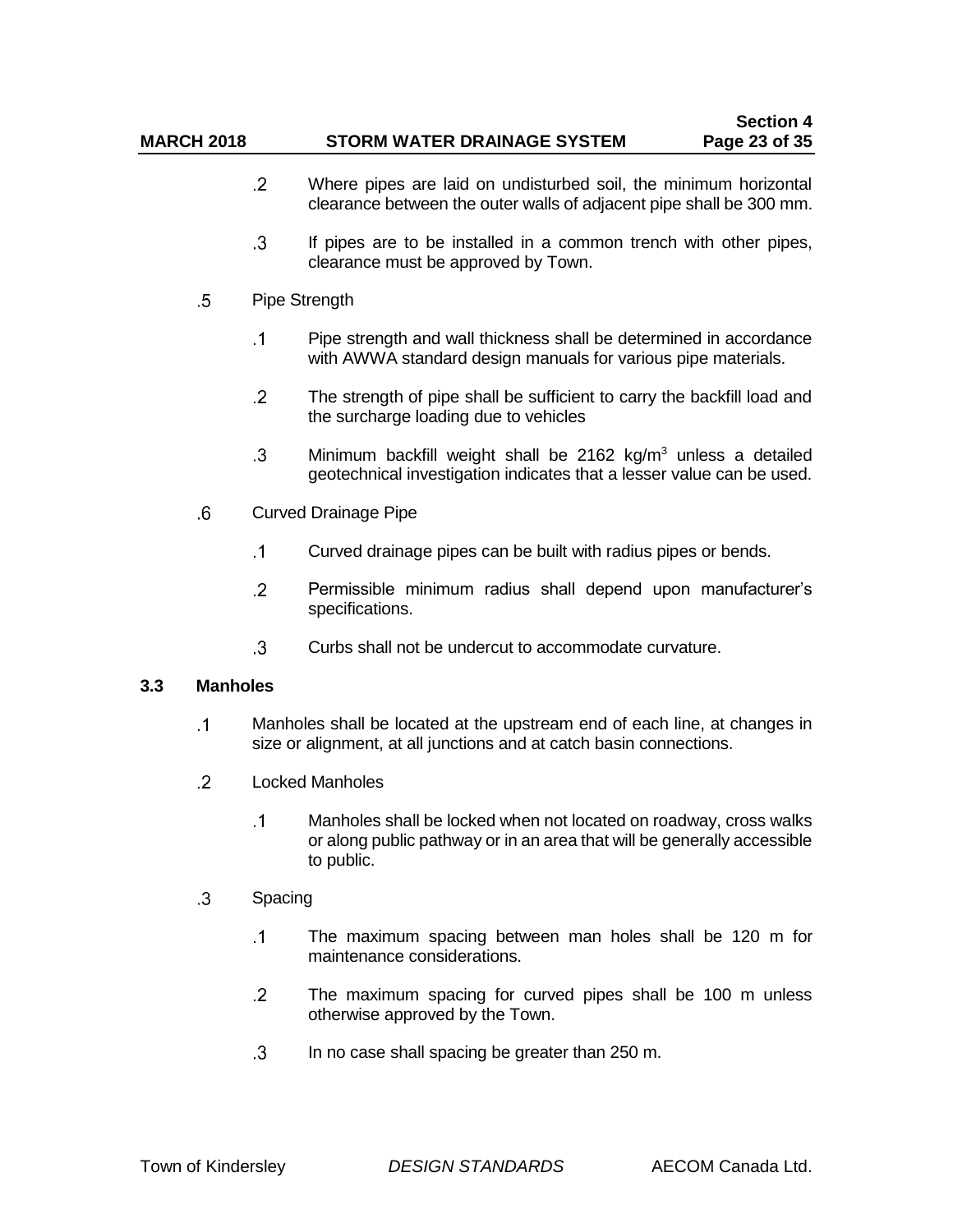#### **Section 4 MARCH 2018 STORM WATER DRAINAGE SYSTEM Page 23 of 35**

- $\cdot$  2 Where pipes are laid on undisturbed soil, the minimum horizontal clearance between the outer walls of adjacent pipe shall be 300 mm.
- $\cdot$  3 If pipes are to be installed in a common trench with other pipes, clearance must be approved by Town.
- $.5\,$ Pipe Strength
	- Pipe strength and wall thickness shall be determined in accordance  $\cdot$ 1 with AWWA standard design manuals for various pipe materials.
	- $\cdot$  2 The strength of pipe shall be sufficient to carry the backfill load and the surcharge loading due to vehicles
	- .3 Minimum backfill weight shall be  $2162$  kg/m<sup>3</sup> unless a detailed geotechnical investigation indicates that a lesser value can be used.
- $6 \,$ Curved Drainage Pipe
	- $\cdot$ 1 Curved drainage pipes can be built with radius pipes or bends.
	- $\overline{2}$ Permissible minimum radius shall depend upon manufacturer's specifications.
	- $\cdot$  3 Curbs shall not be undercut to accommodate curvature.

#### **3.3 Manholes**

- $\cdot$ 1 Manholes shall be located at the upstream end of each line, at changes in size or alignment, at all junctions and at catch basin connections.
- $\overline{2}$ Locked Manholes
	- $\cdot$ 1 Manholes shall be locked when not located on roadway, cross walks or along public pathway or in an area that will be generally accessible to public.
- $\cdot$ 3 Spacing
	- $\cdot$ 1 The maximum spacing between man holes shall be 120 m for maintenance considerations.
	- $\cdot$  2 The maximum spacing for curved pipes shall be 100 m unless otherwise approved by the Town.
	- $\cdot$ 3 In no case shall spacing be greater than 250 m.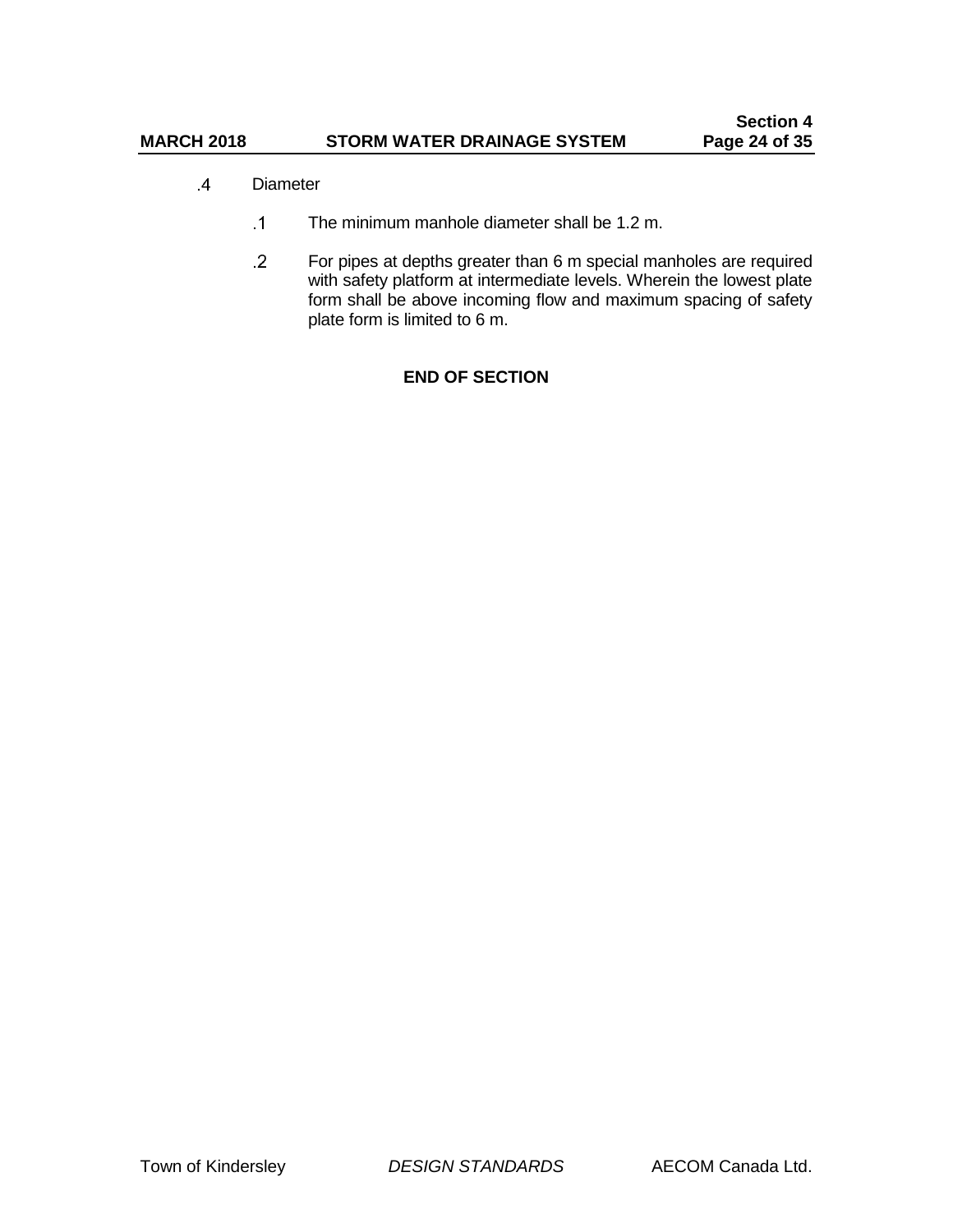- **Diameter**  $\overline{4}$ 
	- $\cdot$ 1 The minimum manhole diameter shall be 1.2 m.
	- $\overline{2}$ For pipes at depths greater than 6 m special manholes are required with safety platform at intermediate levels. Wherein the lowest plate form shall be above incoming flow and maximum spacing of safety plate form is limited to 6 m.

### **END OF SECTION**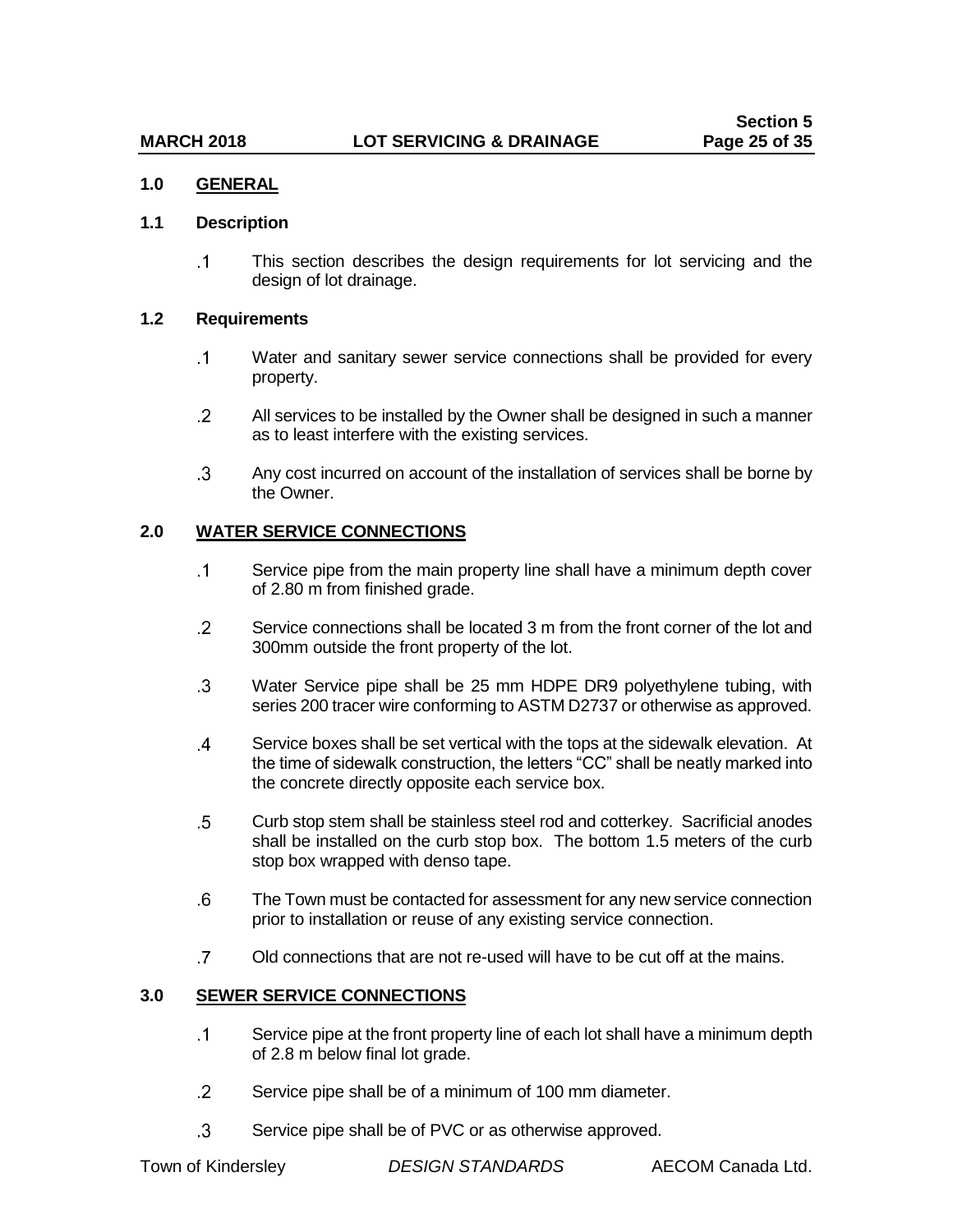#### **1.0 GENERAL**

#### **1.1 Description**

 $\cdot$ 1 This section describes the design requirements for lot servicing and the design of lot drainage.

#### **1.2 Requirements**

- $\cdot$ 1 Water and sanitary sewer service connections shall be provided for every property.
- $\cdot$  2 All services to be installed by the Owner shall be designed in such a manner as to least interfere with the existing services.
- $\cdot$  3 Any cost incurred on account of the installation of services shall be borne by the Owner.

#### **2.0 WATER SERVICE CONNECTIONS**

- $\cdot$ 1 Service pipe from the main property line shall have a minimum depth cover of 2.80 m from finished grade.
- Service connections shall be located 3 m from the front corner of the lot and  $\cdot$  2 300mm outside the front property of the lot.
- $\cdot$ 3 Water Service pipe shall be 25 mm HDPE DR9 polyethylene tubing, with series 200 tracer wire conforming to ASTM D2737 or otherwise as approved.
- $\overline{A}$ Service boxes shall be set vertical with the tops at the sidewalk elevation. At the time of sidewalk construction, the letters "CC" shall be neatly marked into the concrete directly opposite each service box.
- $.5\,$ Curb stop stem shall be stainless steel rod and cotterkey. Sacrificial anodes shall be installed on the curb stop box. The bottom 1.5 meters of the curb stop box wrapped with denso tape.
- 6 The Town must be contacted for assessment for any new service connection prior to installation or reuse of any existing service connection.
- $\overline{7}$ Old connections that are not re-used will have to be cut off at the mains.

#### **3.0 SEWER SERVICE CONNECTIONS**

- $\cdot$ 1 Service pipe at the front property line of each lot shall have a minimum depth of 2.8 m below final lot grade.
- $\overline{2}$ Service pipe shall be of a minimum of 100 mm diameter.
- $\cdot$ 3 Service pipe shall be of PVC or as otherwise approved.

Town of Kindersley *DESIGN STANDARDS* AECOM Canada Ltd.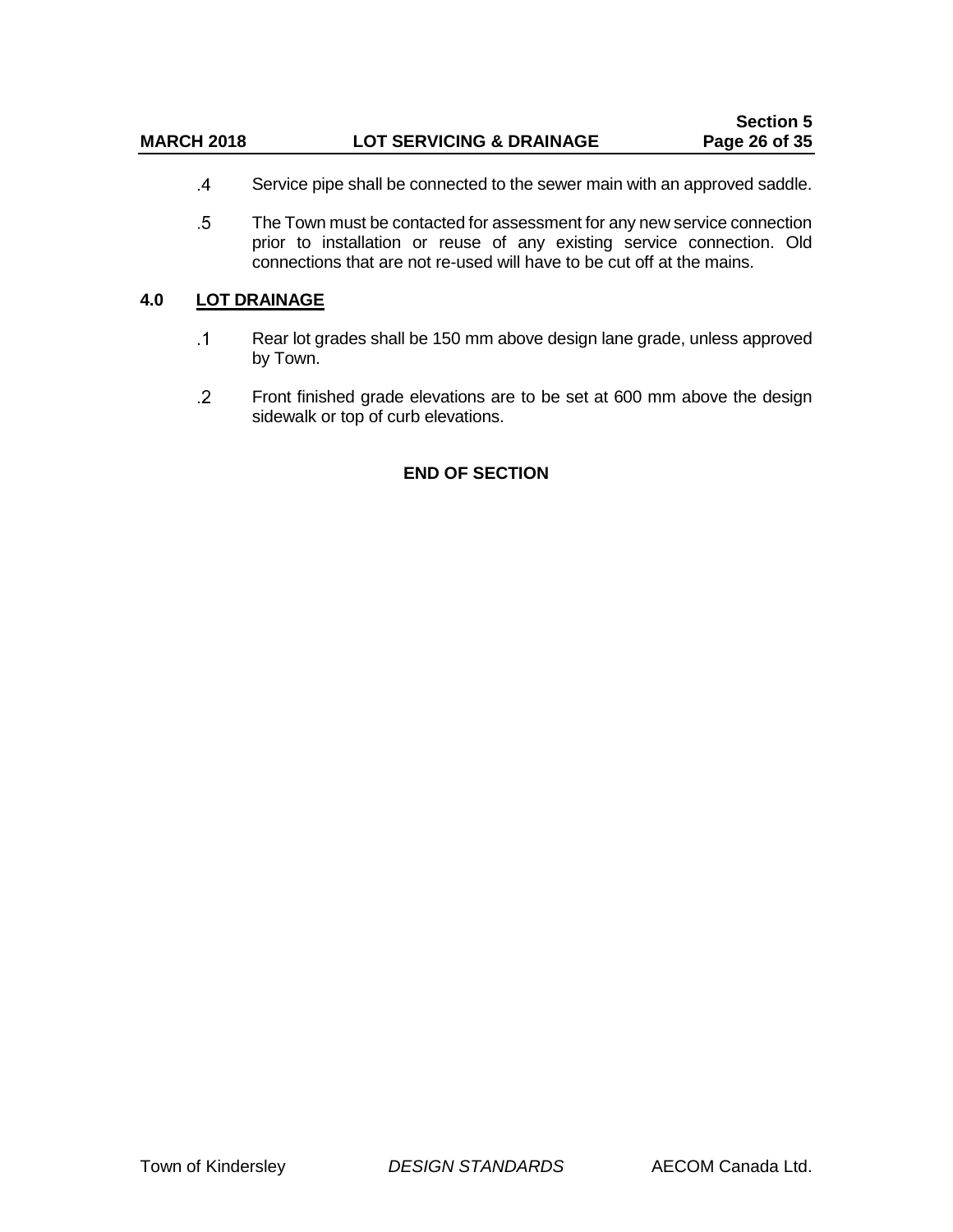## **MARCH 2018 LOT SERVICING & DRAINAGE Page 26 of 35**

- $\mathcal{A}$ Service pipe shall be connected to the sewer main with an approved saddle.
- $.5\,$ The Town must be contacted for assessment for any new service connection prior to installation or reuse of any existing service connection. Old connections that are not re-used will have to be cut off at the mains.

#### **4.0 LOT DRAINAGE**

- Rear lot grades shall be 150 mm above design lane grade, unless approved  $\cdot$ 1 by Town.
- $\overline{2}$ Front finished grade elevations are to be set at 600 mm above the design sidewalk or top of curb elevations.

### **END OF SECTION**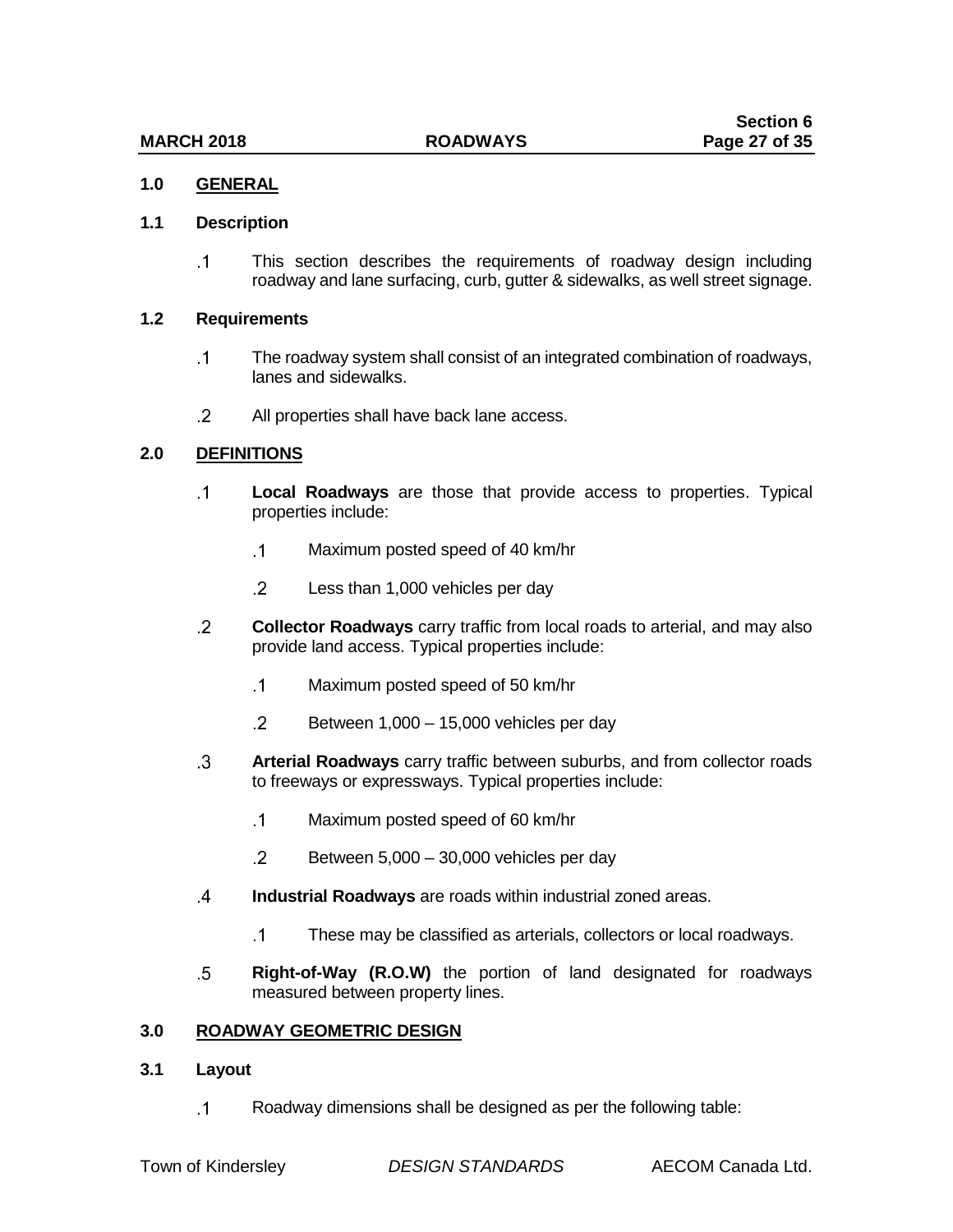#### **1.0 GENERAL**

#### **1.1 Description**

 $\cdot$ 1 This section describes the requirements of roadway design including roadway and lane surfacing, curb, gutter & sidewalks, as well street signage.

#### **1.2 Requirements**

- $\cdot$ 1 The roadway system shall consist of an integrated combination of roadways, lanes and sidewalks.
- $\cdot$  2 All properties shall have back lane access.

#### **2.0 DEFINITIONS**

- $\cdot$ 1 **Local Roadways** are those that provide access to properties. Typical properties include:
	- $\cdot$ 1 Maximum posted speed of 40 km/hr
	- $\cdot$  2 Less than 1,000 vehicles per day
- $\overline{2}$ **Collector Roadways** carry traffic from local roads to arterial, and may also provide land access. Typical properties include:
	- $\cdot$ 1 Maximum posted speed of 50 km/hr
	- $\cdot$  2 Between 1,000 – 15,000 vehicles per day
- $\cdot$ 3 **Arterial Roadways** carry traffic between suburbs, and from collector roads to freeways or expressways. Typical properties include:
	- $\cdot$ 1 Maximum posted speed of 60 km/hr
	- $\overline{2}$ Between 5,000 – 30,000 vehicles per day
- $\overline{A}$ **Industrial Roadways** are roads within industrial zoned areas.
	- $\cdot$ 1 These may be classified as arterials, collectors or local roadways.
- $\overline{5}$ **Right-of-Way (R.O.W)** the portion of land designated for roadways measured between property lines.

#### **3.0 ROADWAY GEOMETRIC DESIGN**

#### **3.1 Layout**

 $\cdot$ 1 Roadway dimensions shall be designed as per the following table: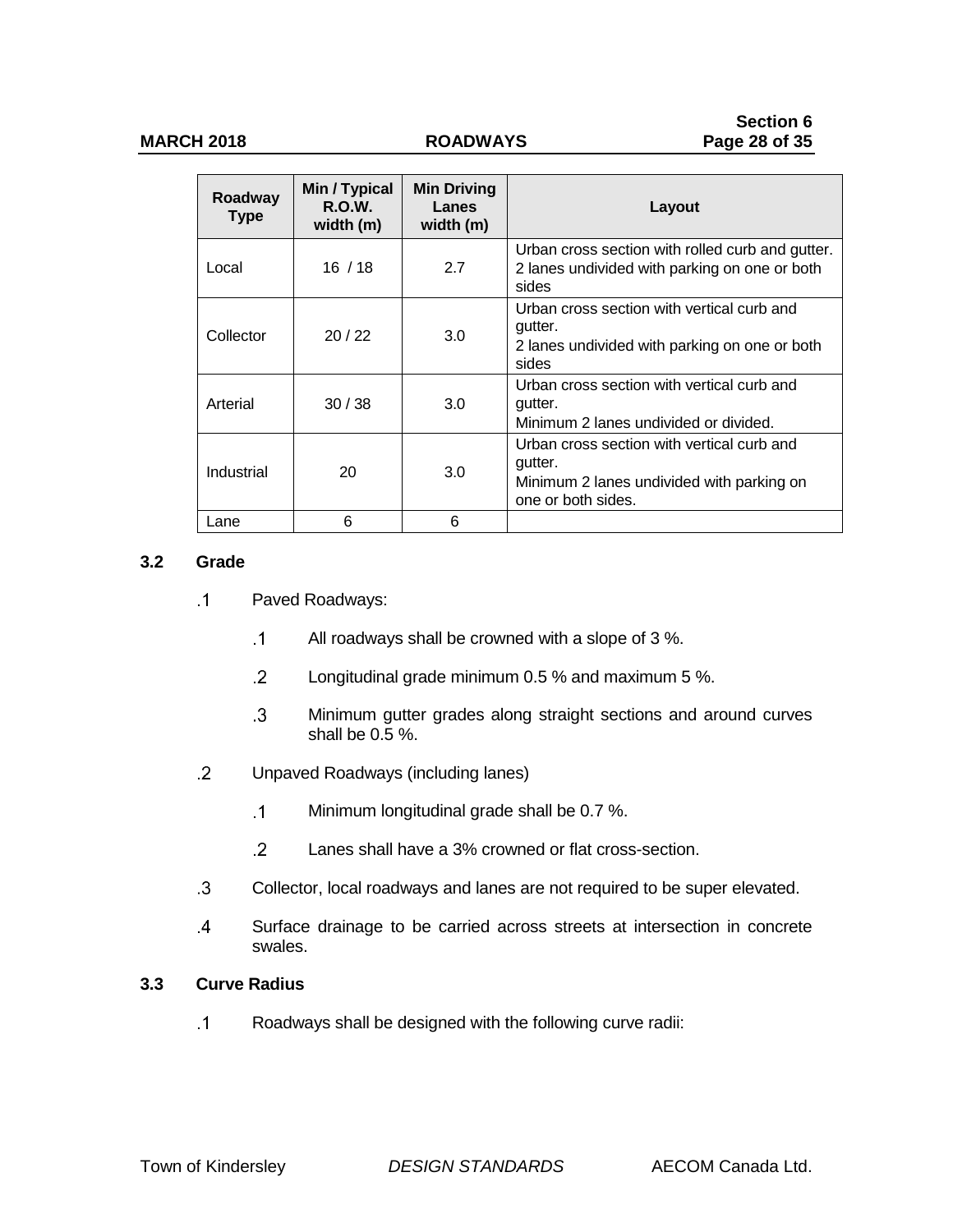#### **Section 6 MARCH 2018 ROADWAYS Page 28 of 35**

| Roadway<br><b>Type</b> | Min / Typical<br>R.O.W.<br>width (m) | <b>Min Driving</b><br>Lanes<br>width (m) | Layout                                                                                                                   |
|------------------------|--------------------------------------|------------------------------------------|--------------------------------------------------------------------------------------------------------------------------|
| Local                  | 16/18                                | 2.7                                      | Urban cross section with rolled curb and gutter.<br>2 lanes undivided with parking on one or both<br>sides               |
| Collector              | 20/22                                | 3.0                                      | Urban cross section with vertical curb and<br>gutter.<br>2 lanes undivided with parking on one or both<br>sides          |
| Arterial               | 30/38                                | 3.0                                      | Urban cross section with vertical curb and<br>gutter.<br>Minimum 2 lanes undivided or divided.                           |
| Industrial             | 20                                   | 3.0                                      | Urban cross section with vertical curb and<br>gutter.<br>Minimum 2 lanes undivided with parking on<br>one or both sides. |
| Lane                   | 6                                    | 6                                        |                                                                                                                          |

#### **3.2 Grade**

- $\cdot$ 1 Paved Roadways:
	- $\cdot$ 1 All roadways shall be crowned with a slope of 3 %.
	- $\overline{2}$ Longitudinal grade minimum 0.5 % and maximum 5 %.
	- $\cdot$ 3 Minimum gutter grades along straight sections and around curves shall be 0.5 %.
- $\overline{2}$ Unpaved Roadways (including lanes)
	- $\cdot$ 1 Minimum longitudinal grade shall be 0.7 %.
	- $\overline{2}$ Lanes shall have a 3% crowned or flat cross-section.
- $\cdot$ 3 Collector, local roadways and lanes are not required to be super elevated.
- Surface drainage to be carried across streets at intersection in concrete  $\overline{A}$ swales.

### **3.3 Curve Radius**

 $\cdot$ 1 Roadways shall be designed with the following curve radii: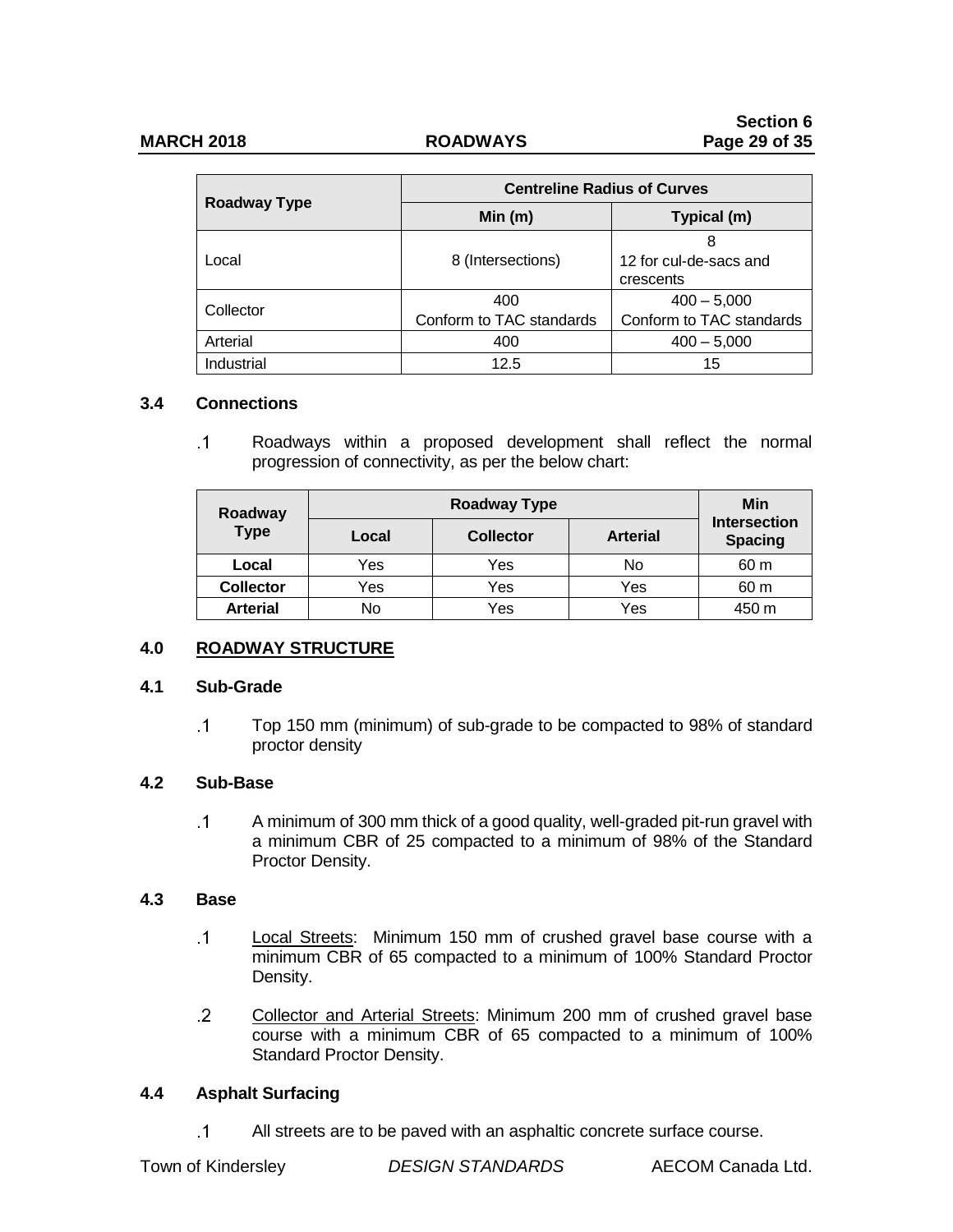|              | <b>Centreline Radius of Curves</b> |                                           |  |  |
|--------------|------------------------------------|-------------------------------------------|--|--|
| Roadway Type | Min(m)                             | Typical (m)                               |  |  |
| Local        | 8 (Intersections)                  | 8<br>12 for cul-de-sacs and<br>crescents  |  |  |
| Collector    | 400<br>Conform to TAC standards    | $400 - 5,000$<br>Conform to TAC standards |  |  |
| Arterial     | 400                                | $400 - 5,000$                             |  |  |
| Industrial   | 12.5                               | 15                                        |  |  |

#### **3.4 Connections**

 $\cdot$ 1 Roadways within a proposed development shall reflect the normal progression of connectivity, as per the below chart:

| Roadway          |       | Min              |                                                          |       |
|------------------|-------|------------------|----------------------------------------------------------|-------|
| <b>Type</b>      | Local | <b>Collector</b> | <b>Intersection</b><br><b>Arterial</b><br><b>Spacing</b> |       |
| Local            | Yes   | Yes              | <b>No</b>                                                | 60 m  |
| <b>Collector</b> | Yes   | Yes              | Yes                                                      | 60 m  |
| <b>Arterial</b>  | No    | Yes              | Yes                                                      | 450 m |

#### **4.0 ROADWAY STRUCTURE**

#### **4.1 Sub-Grade**

 $.1$ Top 150 mm (minimum) of sub-grade to be compacted to 98% of standard proctor density

#### **4.2 Sub-Base**

 $\cdot$ 1 A minimum of 300 mm thick of a good quality, well-graded pit-run gravel with a minimum CBR of 25 compacted to a minimum of 98% of the Standard Proctor Density.

#### **4.3 Base**

- $\cdot$ 1 Local Streets: Minimum 150 mm of crushed gravel base course with a minimum CBR of 65 compacted to a minimum of 100% Standard Proctor Density.
- Collector and Arterial Streets: Minimum 200 mm of crushed gravel base  $\cdot$  2 course with a minimum CBR of 65 compacted to a minimum of 100% Standard Proctor Density.

#### **4.4 Asphalt Surfacing**

 $\cdot$ 1 All streets are to be paved with an asphaltic concrete surface course.

Town of Kindersley *DESIGN STANDARDS* AECOM Canada Ltd.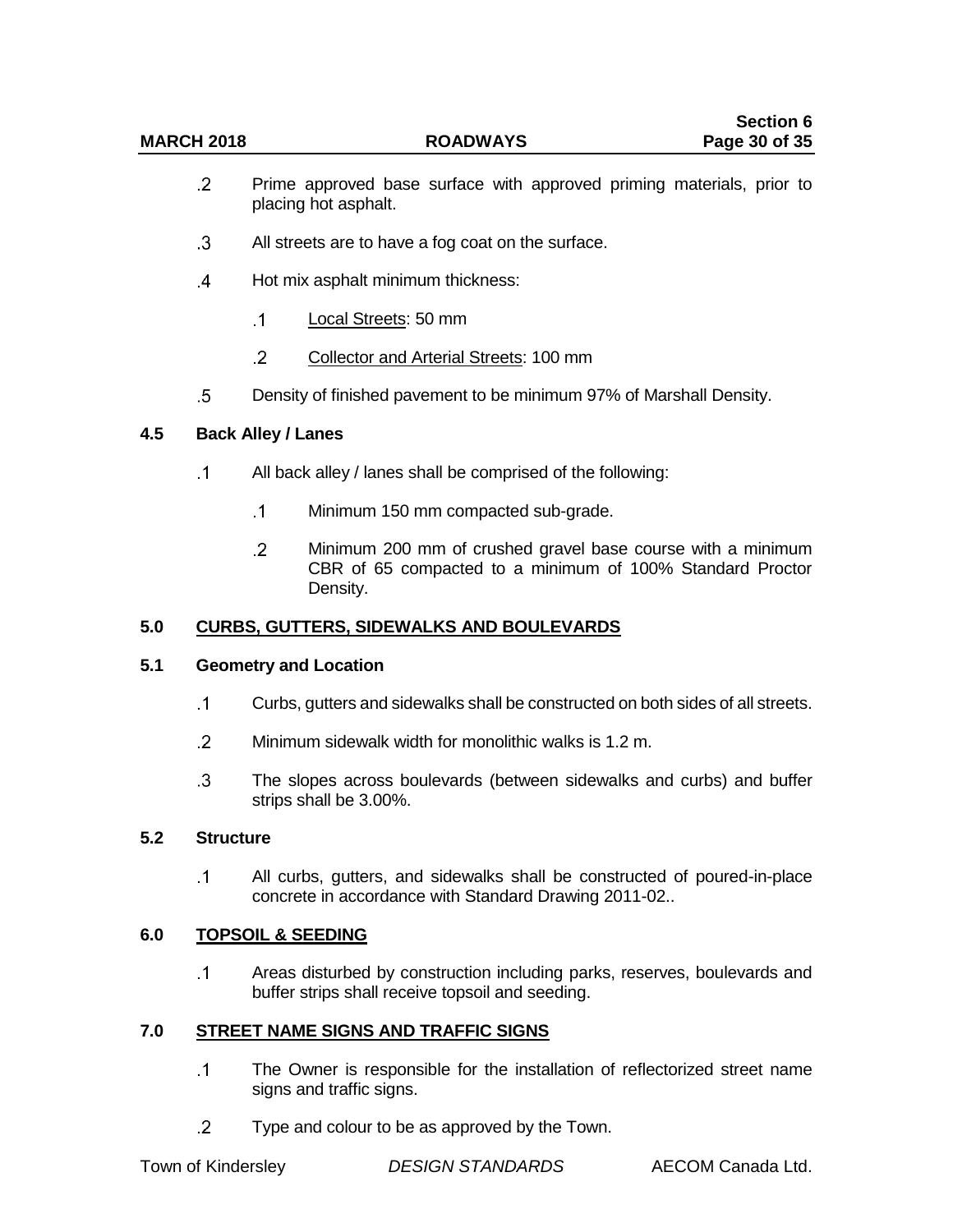| <b>MARCH 2018</b><br><b>ROADWAYS</b> |  | <b>Section 6</b> |
|--------------------------------------|--|------------------|
|                                      |  | Page 30 of 35    |

- $\cdot$  2 Prime approved base surface with approved priming materials, prior to placing hot asphalt.
- $\cdot$  3 All streets are to have a fog coat on the surface.
- $\overline{A}$ Hot mix asphalt minimum thickness:
	- $\cdot$ 1 Local Streets: 50 mm
	- $\cdot$  2 Collector and Arterial Streets: 100 mm
- $\overline{5}$ Density of finished pavement to be minimum 97% of Marshall Density.

#### **4.5 Back Alley / Lanes**

- $\cdot$ 1 All back alley / lanes shall be comprised of the following:
	- $\cdot$ 1 Minimum 150 mm compacted sub-grade.
	- $\overline{2}$ Minimum 200 mm of crushed gravel base course with a minimum CBR of 65 compacted to a minimum of 100% Standard Proctor Density.

#### **5.0 CURBS, GUTTERS, SIDEWALKS AND BOULEVARDS**

#### **5.1 Geometry and Location**

- $\cdot$ 1 Curbs, gutters and sidewalks shall be constructed on both sides of all streets.
- $\overline{2}$ Minimum sidewalk width for monolithic walks is 1.2 m.
- $\cdot$  3 The slopes across boulevards (between sidewalks and curbs) and buffer strips shall be 3.00%.

#### **5.2 Structure**

 $\cdot$ 1 All curbs, gutters, and sidewalks shall be constructed of poured-in-place concrete in accordance with Standard Drawing 2011-02..

#### **6.0 TOPSOIL & SEEDING**

 $\cdot$ 1 Areas disturbed by construction including parks, reserves, boulevards and buffer strips shall receive topsoil and seeding.

#### **7.0 STREET NAME SIGNS AND TRAFFIC SIGNS**

- $\cdot$ 1 The Owner is responsible for the installation of reflectorized street name signs and traffic signs.
- $\cdot$  2 Type and colour to be as approved by the Town.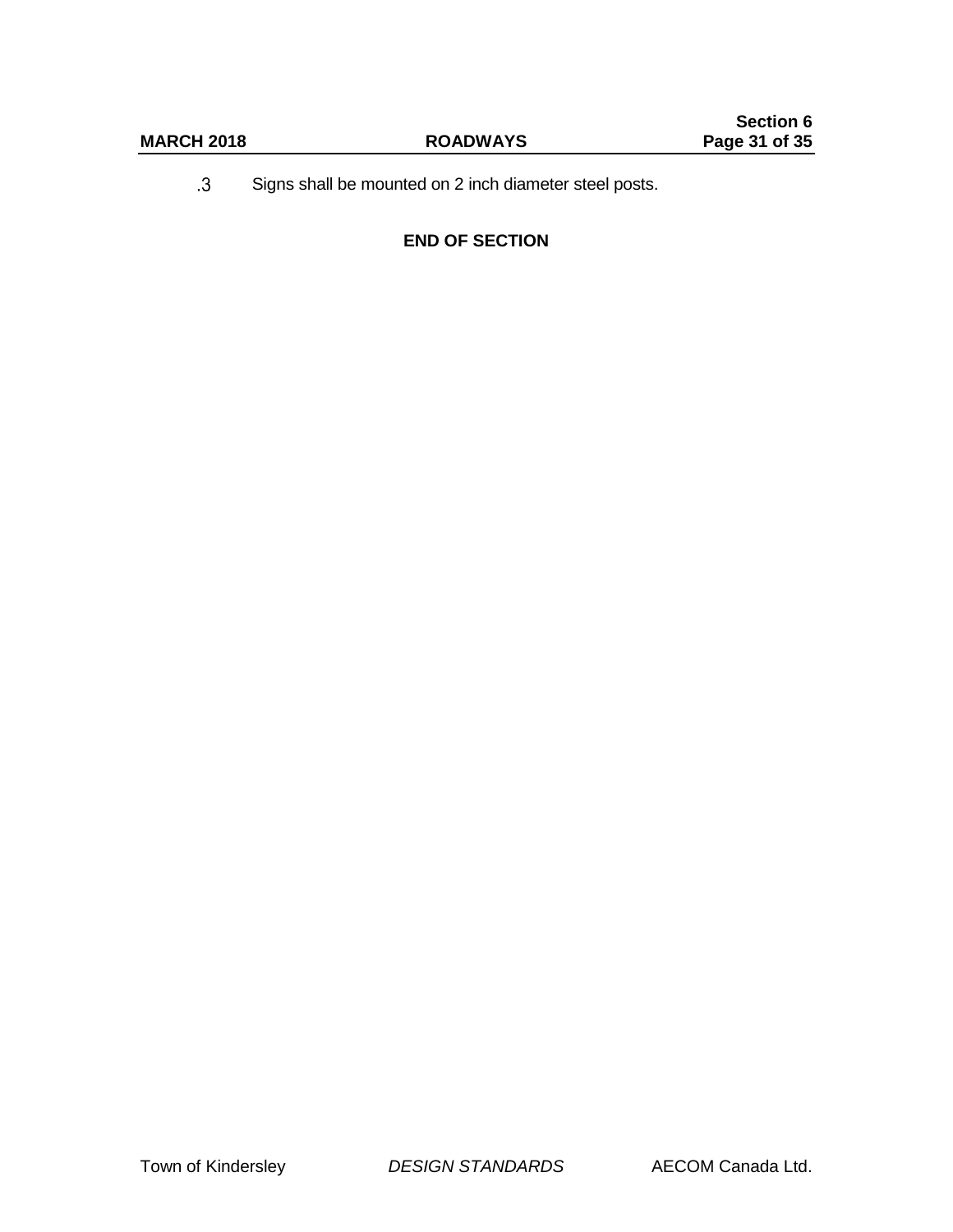$\cdot$ 3 Signs shall be mounted on 2 inch diameter steel posts.

#### **END OF SECTION**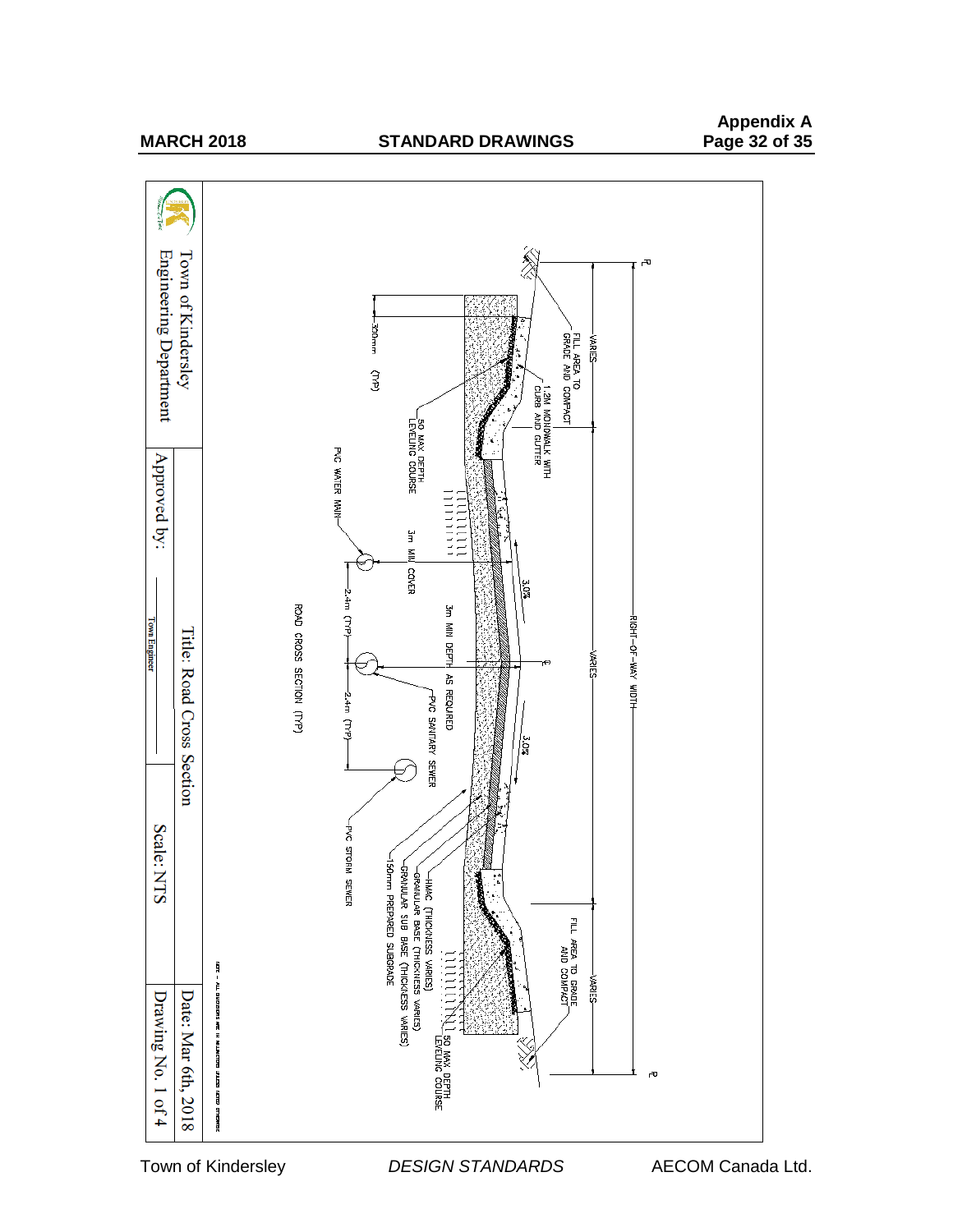#### **MARCH 2018 STANDARD DRAWINGS**



Town of Kindersley **DESIGN STANDARDS** AECOM Canada Ltd.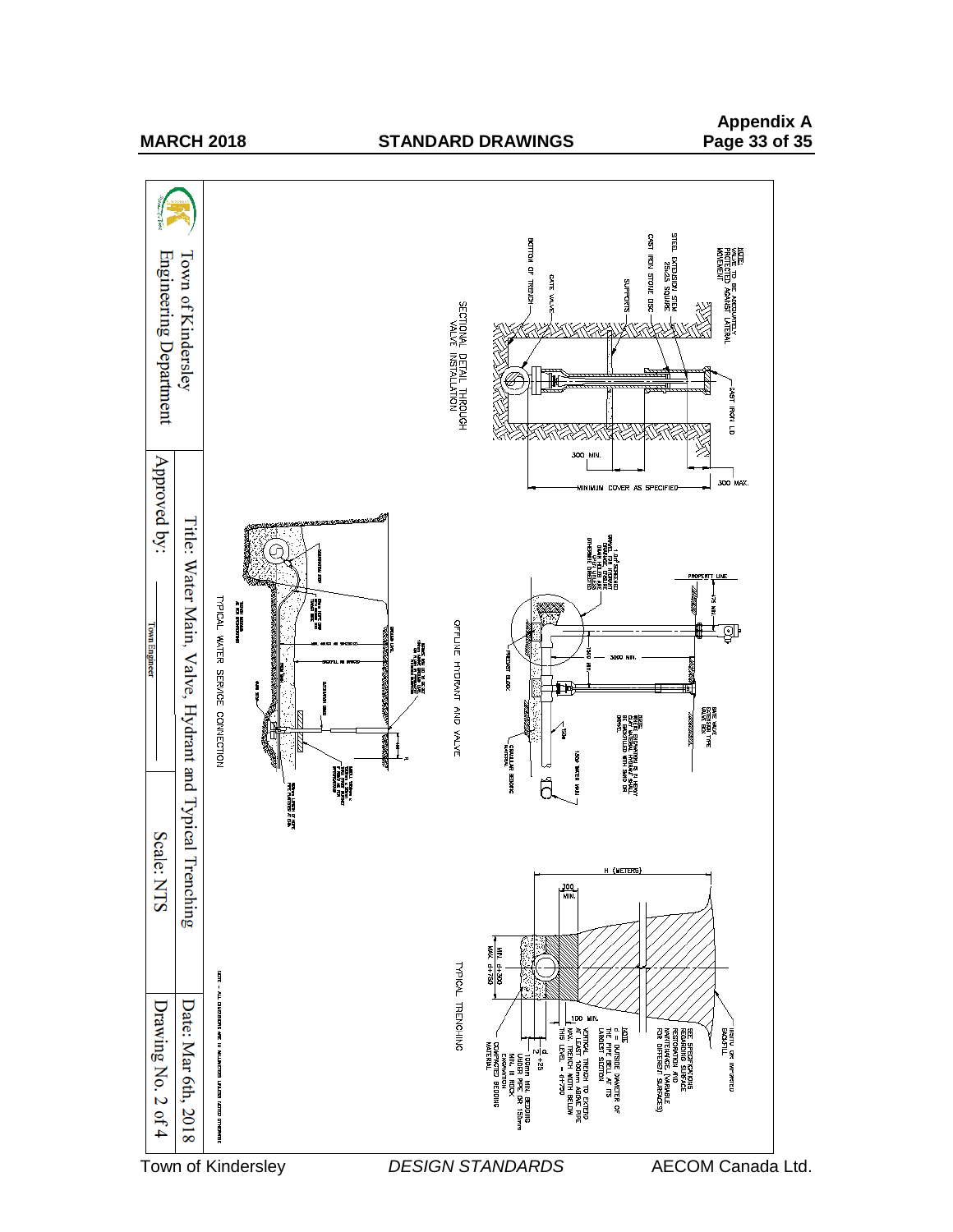# **Appendix A**

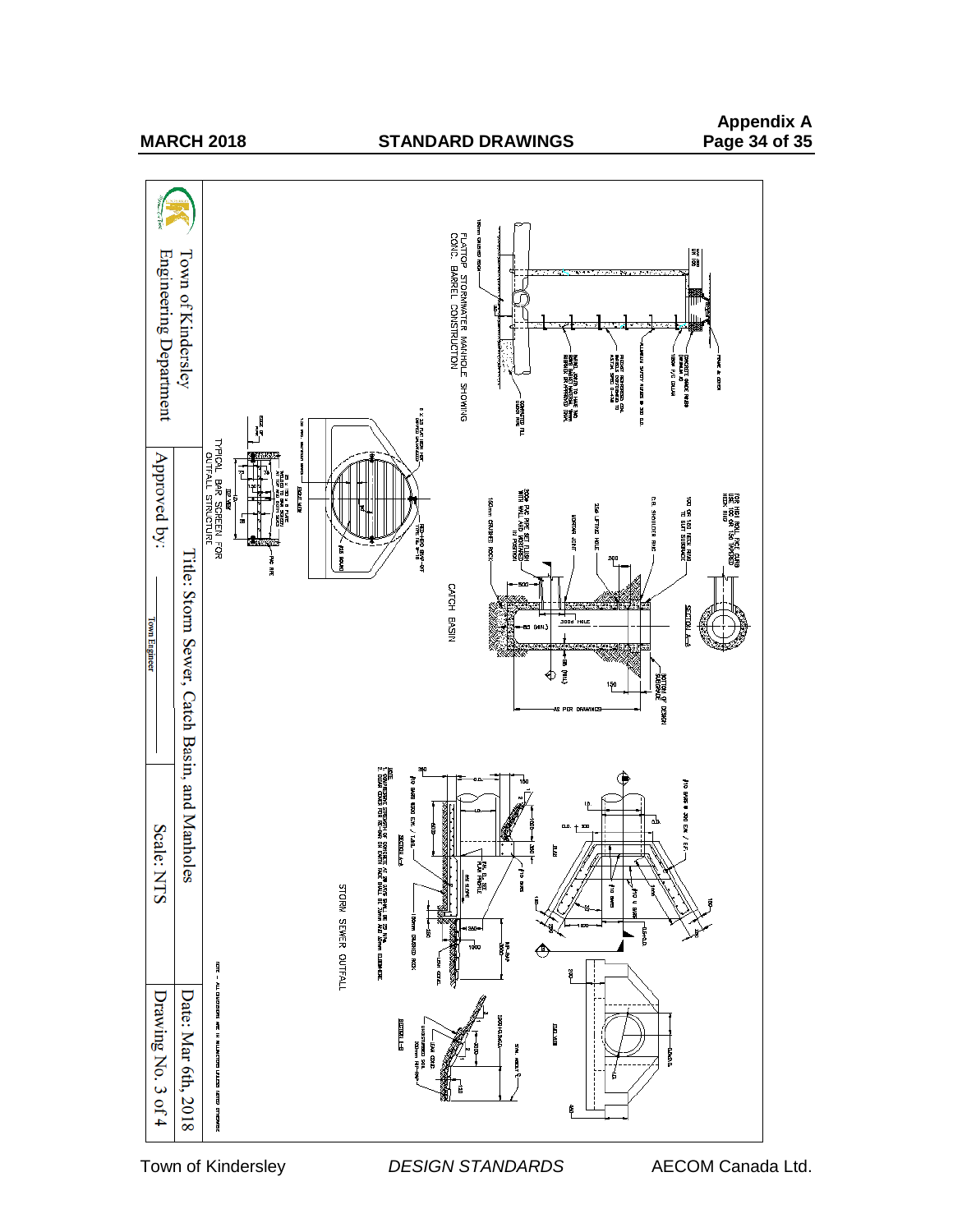